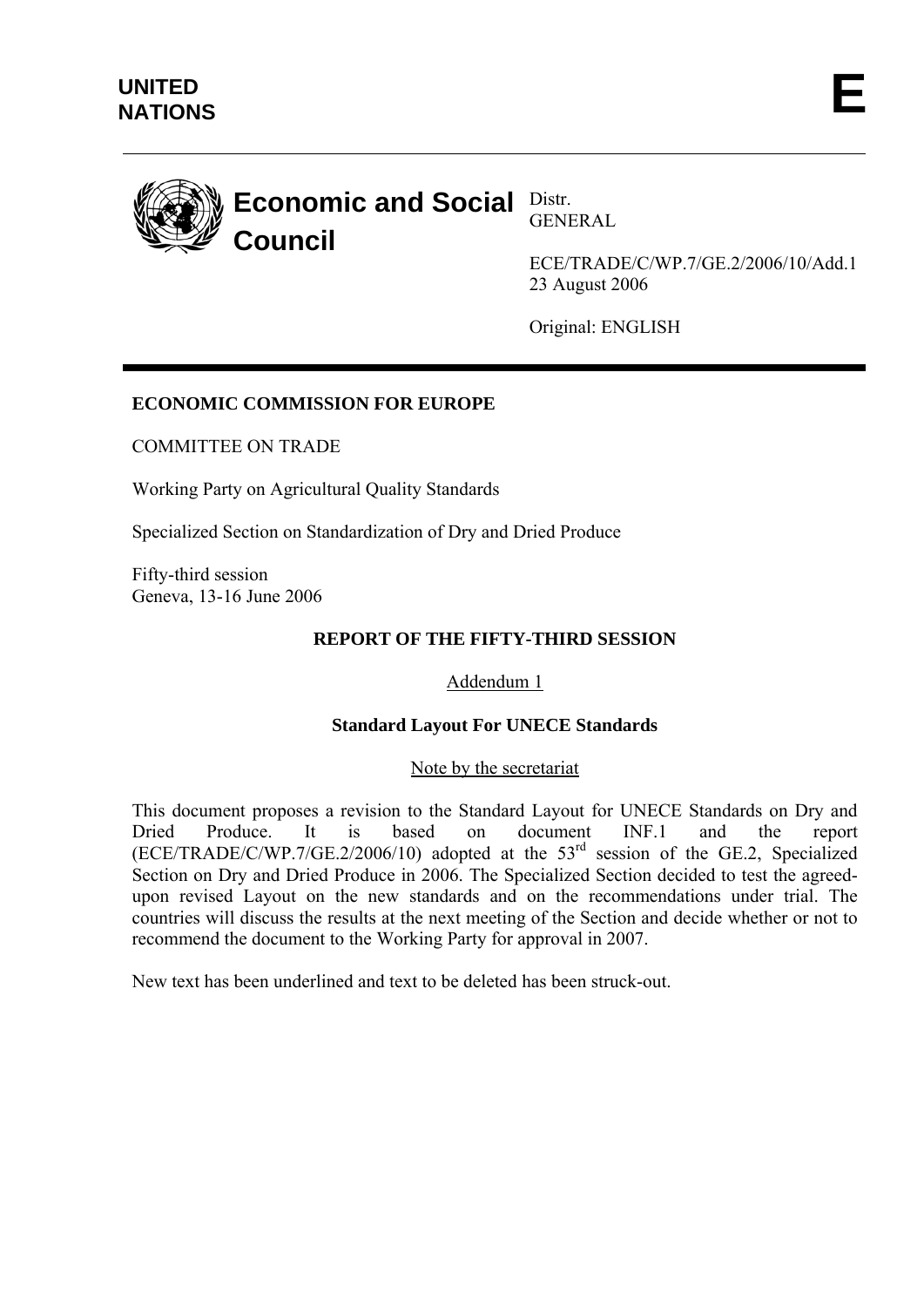<span id="page-0-0"></span>

GENERAL

[ECE/TRADE/C/WP.7/GE.2/2006/10/Add.1](#page-0-0) 23 August 2006

Original: ENGLISH

## **ECONOMIC COMMISSION FOR EUROPE**

COMMITTEE ON TRADE

Working Party on Agricultural Quality Standards

Specialized Section on Standardization of Dry and Dried Produce

Fifty-third session Geneva, 13-16 June 2006

#### **REPORT OF THE FIFTY-THIRD SESSION**

#### Addendum 1

#### **Standard Layout For UNECE Standards**

Note by the secretariat

This document proposes a revision to the Standard Layout for UNECE Standards on Dry and Dried Produce. It is based on document INF.1 and the report (ECE/TRADE/C/WP.7/GE.2/2006/10) adopted at the 53rd session of the GE.2, Specialized Section on Dry and Dried Produce in 2006. The Specialized Section decided to test the agreedupon revised Layout on the new standards and on the recommendations under trial. The countries will discuss the results at the next meeting of the Section and decide whether or not to recommend the document to the Working Party for approval in 2007.

New text has been underlined and text to be deleted has been struck-out.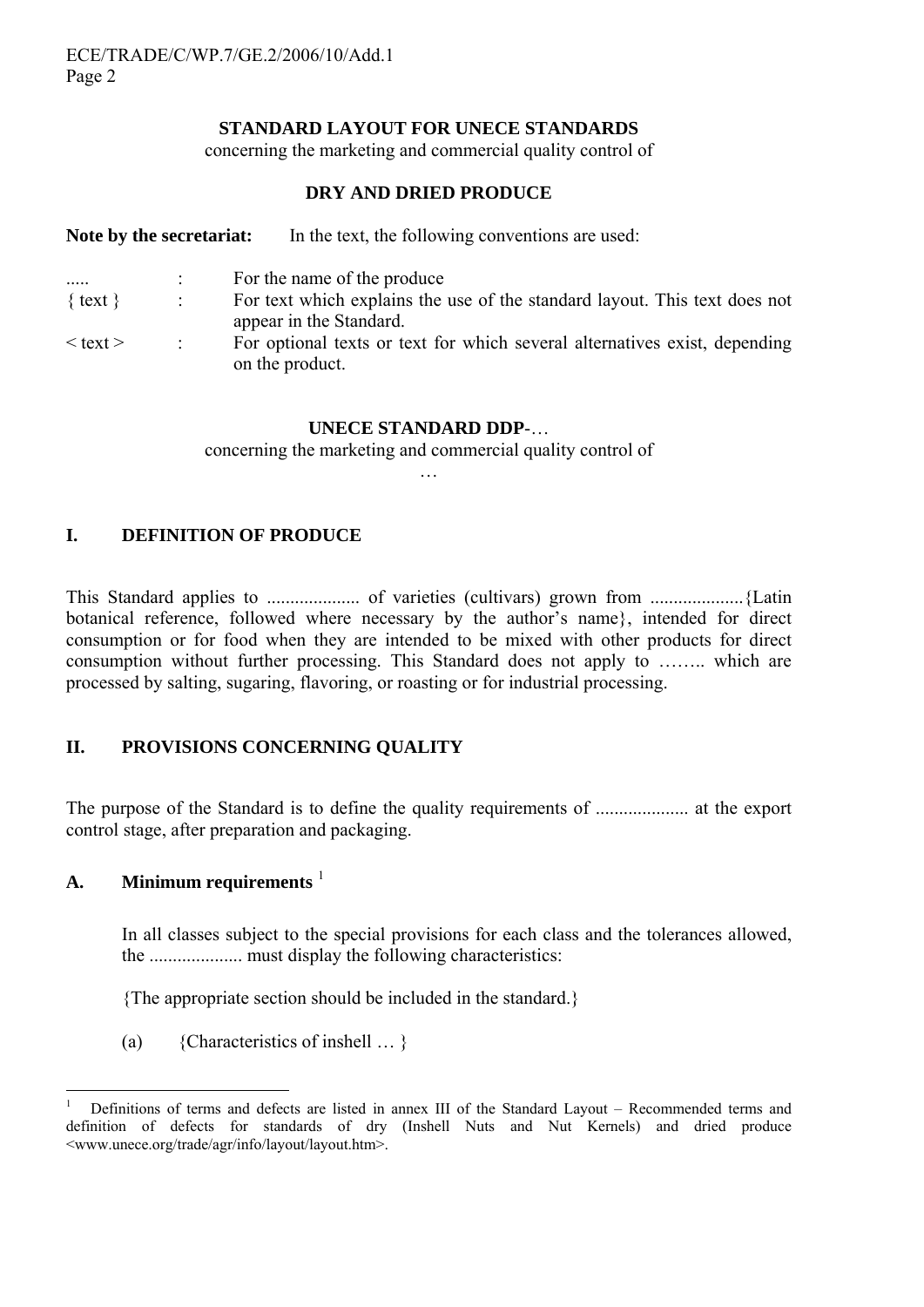#### **STANDARD LAYOUT FOR UNECE STANDARDS**

concerning the marketing and commercial quality control of

### **DRY AND DRIED PRODUCE**

| Note by the secretariat: | In the text, the following conventions are used:                                                      |
|--------------------------|-------------------------------------------------------------------------------------------------------|
|                          | For the name of the produce                                                                           |
| $\{ text\}$              | For text which explains the use of the standard layout. This text does not<br>appear in the Standard. |
| $<$ text $>$             | For optional texts or text for which several alternatives exist, depending<br>on the product.         |

#### **UNECE STANDARD DDP**-…

concerning the marketing and commercial quality control of …

**I. DEFINITION OF PRODUCE** 

This Standard applies to .................... of varieties (cultivars) grown from ....................{Latin botanical reference, followed where necessary by the author's name}, intended for direct consumption or for food when they are intended to be mixed with other products for direct consumption without further processing. This Standard does not apply to …….. which are processed by salting, sugaring, flavoring, or roasting or for industrial processing.

## **II. PROVISIONS CONCERNING QUALITY**

The purpose of the Standard is to define the quality requirements of .................... at the export control stage, after preparation and packaging.

### **A. Minimum requirements** [1](#page-1-0)

In all classes subject to the special provisions for each class and the tolerances allowed, the .................... must display the following characteristics:

{The appropriate section should be included in the standard.}

(a) {Characteristics of inshell … }

<span id="page-1-0"></span> $\frac{1}{1}$  Definitions of terms and defects are listed in annex III of the Standard Layout – Recommended terms and definition of defects for standards of dry (Inshell Nuts and Nut Kernels) and dried produce <www.unece.org/trade/agr/info/layout/layout.htm>.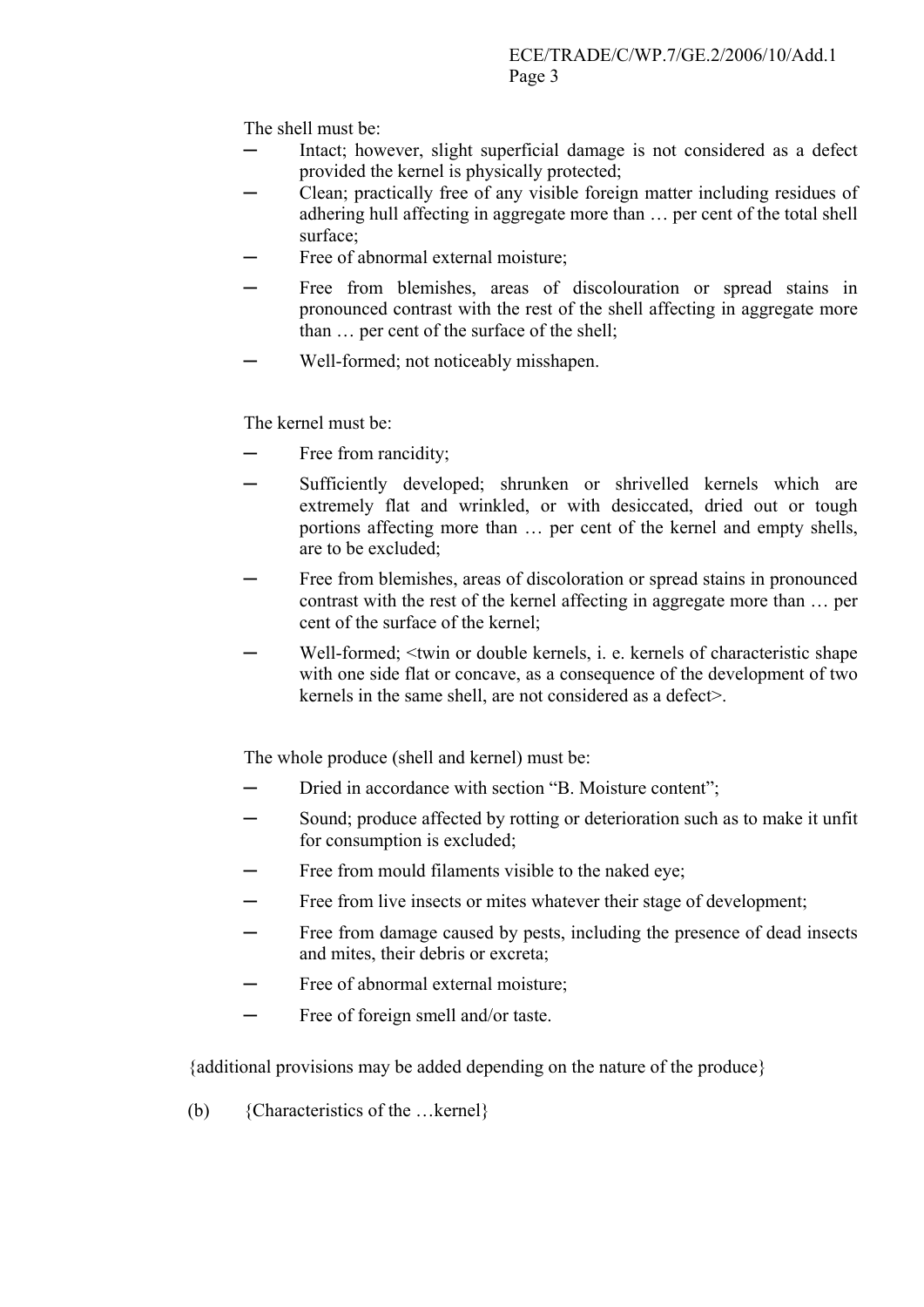The shell must be:

- Intact; however, slight superficial damage is not considered as a defect provided the kernel is physically protected;
- Clean; practically free of any visible foreign matter including residues of adhering hull affecting in aggregate more than … per cent of the total shell surface;
- Free of abnormal external moisture;
- Free from blemishes, areas of discolouration or spread stains in pronounced contrast with the rest of the shell affecting in aggregate more than … per cent of the surface of the shell;
- Well-formed; not noticeably misshapen.

The kernel must be:

- Free from rancidity;
- Sufficiently developed; shrunken or shrivelled kernels which are extremely flat and wrinkled, or with desiccated, dried out or tough portions affecting more than … per cent of the kernel and empty shells, are to be excluded;
- Free from blemishes, areas of discoloration or spread stains in pronounced contrast with the rest of the kernel affecting in aggregate more than … per cent of the surface of the kernel;
- Well-formed;  $\le$ twin or double kernels, i. e. kernels of characteristic shape with one side flat or concave, as a consequence of the development of two kernels in the same shell, are not considered as a defect>.

The whole produce (shell and kernel) must be:

- Dried in accordance with section "B. Moisture content":
- Sound; produce affected by rotting or deterioration such as to make it unfit for consumption is excluded;
- Free from mould filaments visible to the naked eye;
- Free from live insects or mites whatever their stage of development;
- Free from damage caused by pests, including the presence of dead insects and mites, their debris or excreta;
- Free of abnormal external moisture;
- Free of foreign smell and/or taste.

{additional provisions may be added depending on the nature of the produce}

(b) {Characteristics of the …kernel}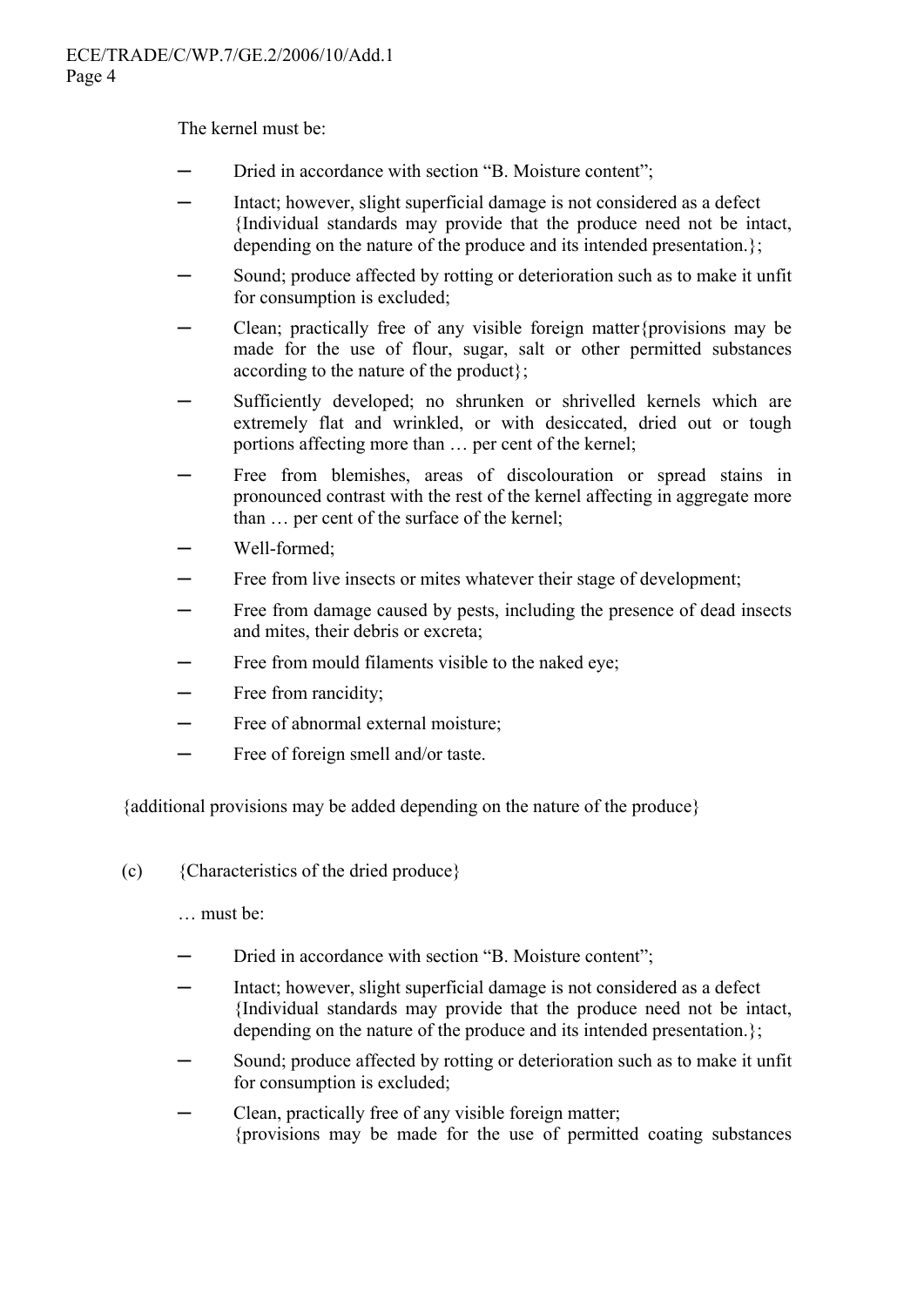The kernel must be:

- Dried in accordance with section "B. Moisture content";
- ─ Intact; however, slight superficial damage is not considered as a defect {Individual standards may provide that the produce need not be intact, depending on the nature of the produce and its intended presentation.};
- Sound; produce affected by rotting or deterioration such as to make it unfit for consumption is excluded;
- Clean; practically free of any visible foreign matter{provisions may be made for the use of flour, sugar, salt or other permitted substances according to the nature of the product};
- Sufficiently developed; no shrunken or shrivelled kernels which are extremely flat and wrinkled, or with desiccated, dried out or tough portions affecting more than … per cent of the kernel;
- ─ Free from blemishes, areas of discolouration or spread stains in pronounced contrast with the rest of the kernel affecting in aggregate more than … per cent of the surface of the kernel;
- Well-formed:
- Free from live insects or mites whatever their stage of development;
- Free from damage caused by pests, including the presence of dead insects and mites, their debris or excreta;
- Free from mould filaments visible to the naked eve:
- Free from rancidity;
- $-$  Free of abnormal external moisture:
- $-$  Free of foreign smell and/or taste.

{additional provisions may be added depending on the nature of the produce}

(c) {Characteristics of the dried produce}

… must be:

- Dried in accordance with section "B. Moisture content";
- Intact; however, slight superficial damage is not considered as a defect {Individual standards may provide that the produce need not be intact, depending on the nature of the produce and its intended presentation.}:
- Sound; produce affected by rotting or deterioration such as to make it unfit for consumption is excluded;
- Clean, practically free of any visible foreign matter; {provisions may be made for the use of permitted coating substances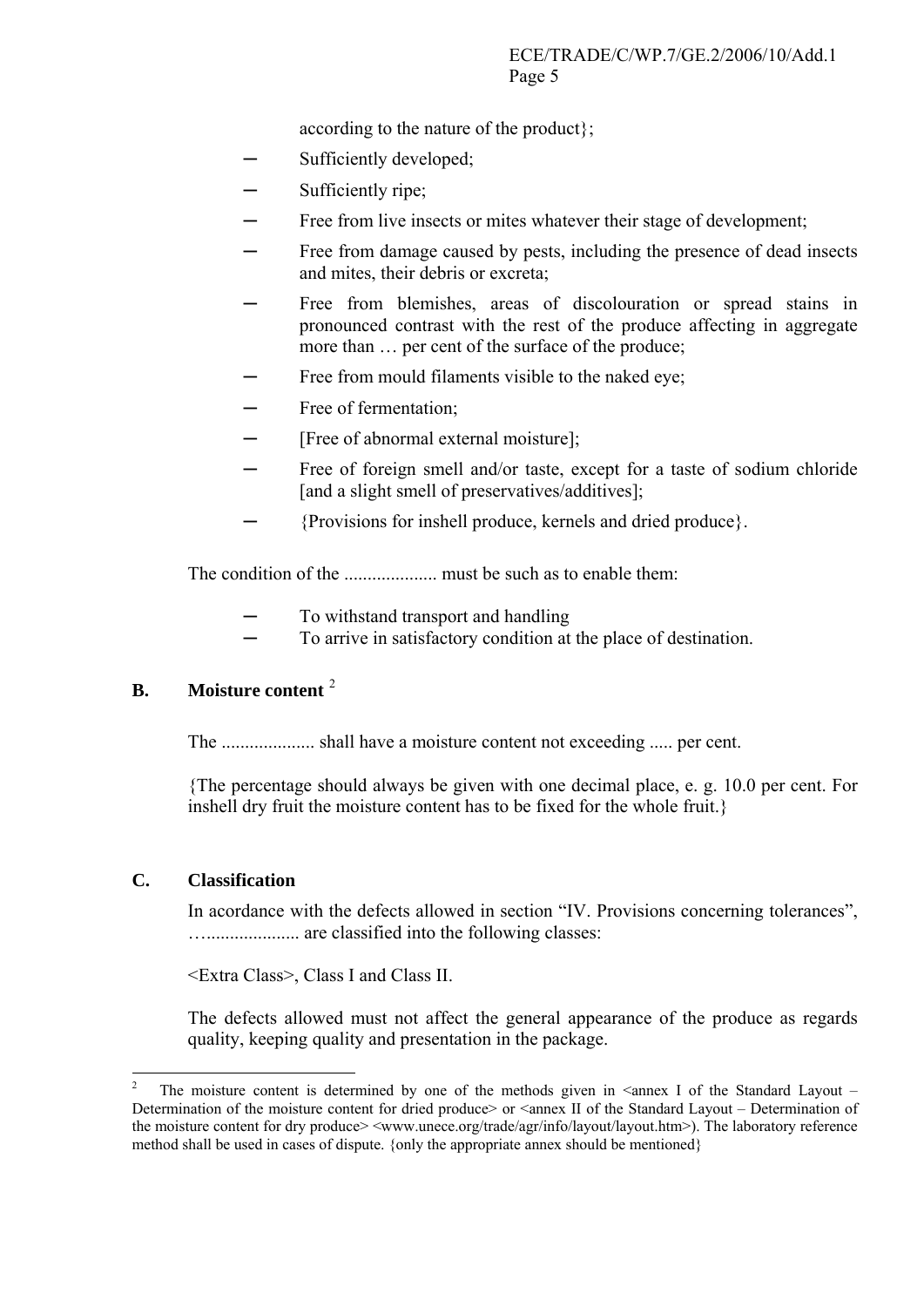according to the nature of the product};

- Sufficiently developed;
- Sufficiently ripe;
- Free from live insects or mites whatever their stage of development;
- Free from damage caused by pests, including the presence of dead insects and mites, their debris or excreta;
- Free from blemishes, areas of discolouration or spread stains in pronounced contrast with the rest of the produce affecting in aggregate more than … per cent of the surface of the produce;
- Free from mould filaments visible to the naked eye;
- Free of fermentation;
- [Free of abnormal external moisture];
- Free of foreign smell and/or taste, except for a taste of sodium chloride [and a slight smell of preservatives/additives];
- ─ {Provisions for inshell produce, kernels and dried produce}.

The condition of the .................... must be such as to enable them:

- To withstand transport and handling
- To arrive in satisfactory condition at the place of destination.

### **B. Moisture content** [2](#page-4-0)

The .................... shall have a moisture content not exceeding ..... per cent.

{The percentage should always be given with one decimal place, e. g. 10.0 per cent. For inshell dry fruit the moisture content has to be fixed for the whole fruit.}

### **C. Classification**

1

In acordance with the defects allowed in section "IV. Provisions concerning tolerances", ….................... are classified into the following classes:

<Extra Class>, Class I and Class II.

The defects allowed must not affect the general appearance of the produce as regards quality, keeping quality and presentation in the package.

<span id="page-4-0"></span><sup>2</sup> The moisture content is determined by one of the methods given in  $\leq$  annex I of the Standard Layout – Determination of the moisture content for dried produce> or <annex II of the Standard Layout – Determination of the moisture content for dry produce> <[www.unece.org/trade/agr/info/layout/layout.htm>](http://www.unece.org/trade/agr/info/layout/layout.htm)). The laboratory reference method shall be used in cases of dispute. {only the appropriate annex should be mentioned}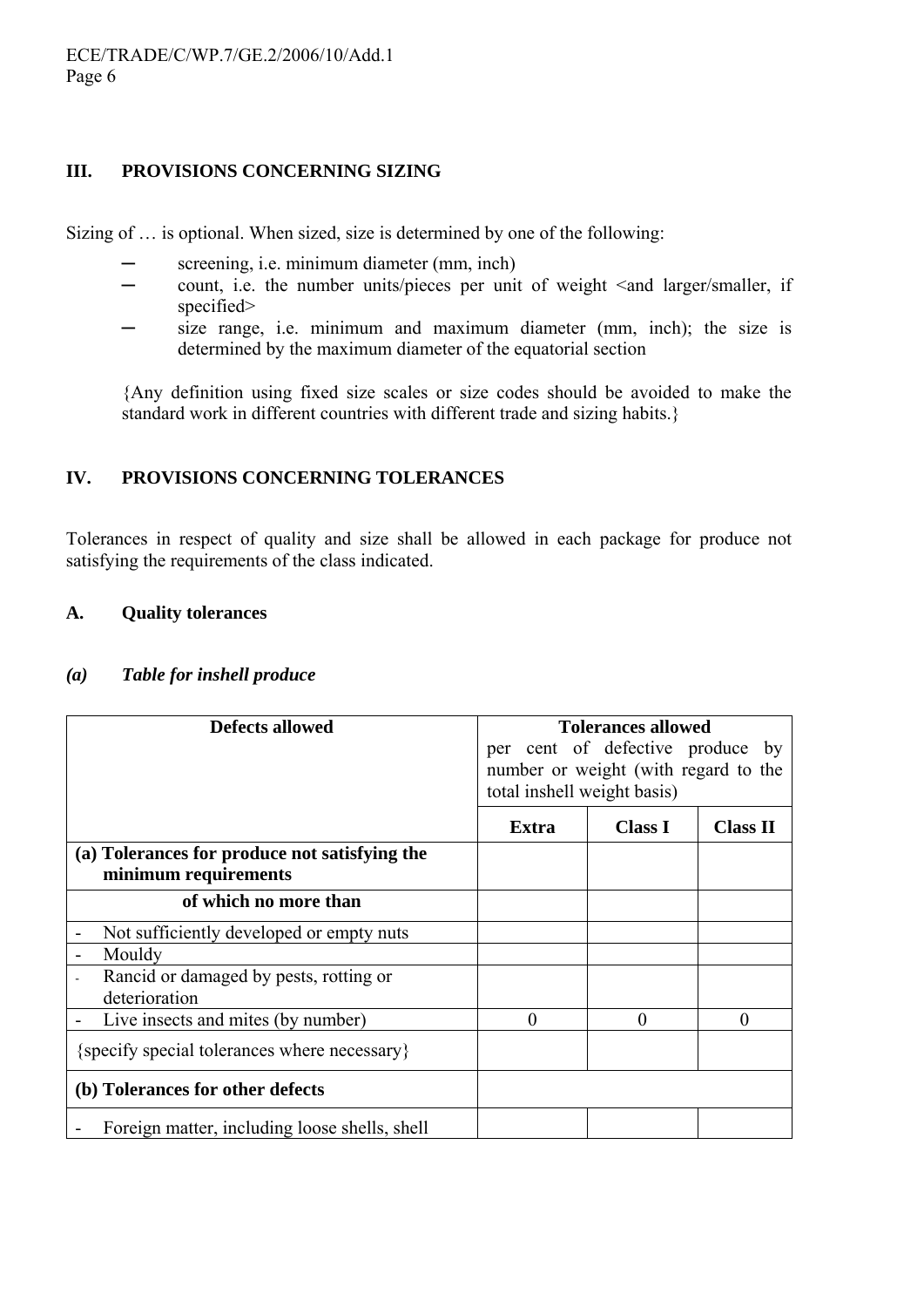### **III. PROVISIONS CONCERNING SIZING**

Sizing of … is optional. When sized, size is determined by one of the following:

- screening, i.e. minimum diameter (mm, inch)
- $-$  count, i.e. the number units/pieces per unit of weight  $\leq$  and larger/smaller, if specified>
- size range, i.e. minimum and maximum diameter (mm, inch); the size is determined by the maximum diameter of the equatorial section

{Any definition using fixed size scales or size codes should be avoided to make the standard work in different countries with different trade and sizing habits.}

### **IV. PROVISIONS CONCERNING TOLERANCES**

Tolerances in respect of quality and size shall be allowed in each package for produce not satisfying the requirements of the class indicated.

### **A. Quality tolerances**

| <b>Defects allowed</b>                                                | <b>Tolerances allowed</b><br>per cent of defective produce by<br>number or weight (with regard to the<br>total inshell weight basis) |                |                 |
|-----------------------------------------------------------------------|--------------------------------------------------------------------------------------------------------------------------------------|----------------|-----------------|
|                                                                       | Extra                                                                                                                                | <b>Class I</b> | <b>Class II</b> |
| (a) Tolerances for produce not satisfying the<br>minimum requirements |                                                                                                                                      |                |                 |
| of which no more than                                                 |                                                                                                                                      |                |                 |
| Not sufficiently developed or empty nuts<br>$\overline{\phantom{a}}$  |                                                                                                                                      |                |                 |
| Mouldy<br>$\blacksquare$                                              |                                                                                                                                      |                |                 |
| Rancid or damaged by pests, rotting or<br>deterioration               |                                                                                                                                      |                |                 |
| Live insects and mites (by number)                                    | $\theta$                                                                                                                             | 0              | $\theta$        |
| {specify special tolerances where necessary}                          |                                                                                                                                      |                |                 |
| (b) Tolerances for other defects                                      |                                                                                                                                      |                |                 |
| Foreign matter, including loose shells, shell                         |                                                                                                                                      |                |                 |

#### *(a) Table for inshell produce*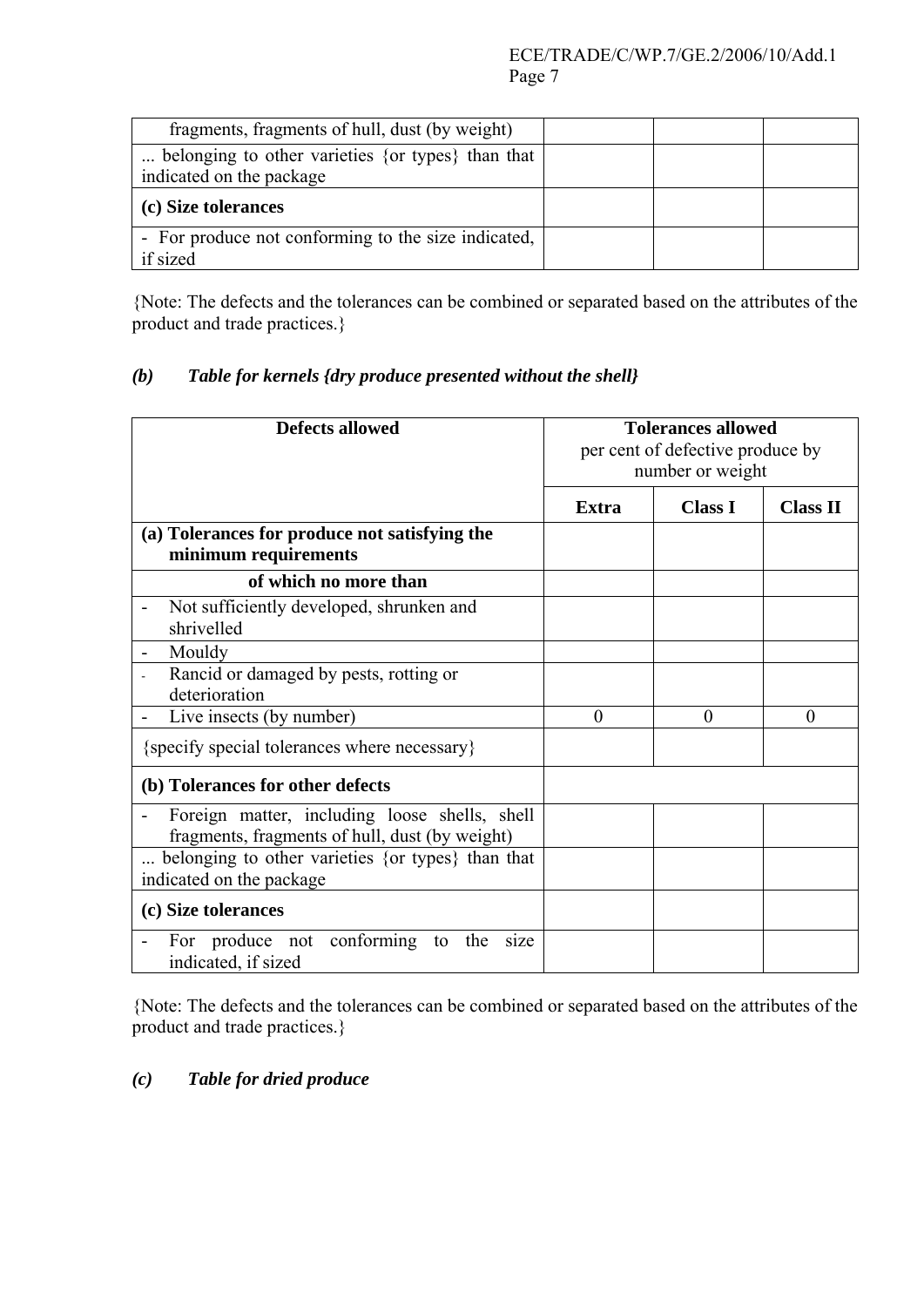| fragments, fragments of hull, dust (by weight)      |  |  |
|-----------------------------------------------------|--|--|
| belonging to other varieties {or types} than that   |  |  |
| indicated on the package                            |  |  |
| (c) Size tolerances                                 |  |  |
|                                                     |  |  |
| - For produce not conforming to the size indicated, |  |  |

{Note: The defects and the tolerances can be combined or separated based on the attributes of the product and trade practices.}

## *(b) Table for kernels {dry produce presented without the shell}*

| <b>Defects allowed</b>                                                                          |          | <b>Tolerances allowed</b><br>per cent of defective produce by<br>number or weight |                 |
|-------------------------------------------------------------------------------------------------|----------|-----------------------------------------------------------------------------------|-----------------|
|                                                                                                 | Extra    | <b>Class I</b>                                                                    | <b>Class II</b> |
| (a) Tolerances for produce not satisfying the                                                   |          |                                                                                   |                 |
| minimum requirements                                                                            |          |                                                                                   |                 |
| of which no more than                                                                           |          |                                                                                   |                 |
| Not sufficiently developed, shrunken and<br>shrivelled                                          |          |                                                                                   |                 |
| Mouldy                                                                                          |          |                                                                                   |                 |
| Rancid or damaged by pests, rotting or<br>deterioration                                         |          |                                                                                   |                 |
| Live insects (by number)                                                                        | $\theta$ | $\theta$                                                                          | $\theta$        |
| {specify special tolerances where necessary}                                                    |          |                                                                                   |                 |
| (b) Tolerances for other defects                                                                |          |                                                                                   |                 |
| Foreign matter, including loose shells, shell<br>fragments, fragments of hull, dust (by weight) |          |                                                                                   |                 |
| belonging to other varieties {or types} than that<br>indicated on the package                   |          |                                                                                   |                 |
| (c) Size tolerances                                                                             |          |                                                                                   |                 |
| For produce not conforming to<br>the<br>size<br>indicated, if sized                             |          |                                                                                   |                 |

{Note: The defects and the tolerances can be combined or separated based on the attributes of the product and trade practices.}

## *(c) Table for dried produce*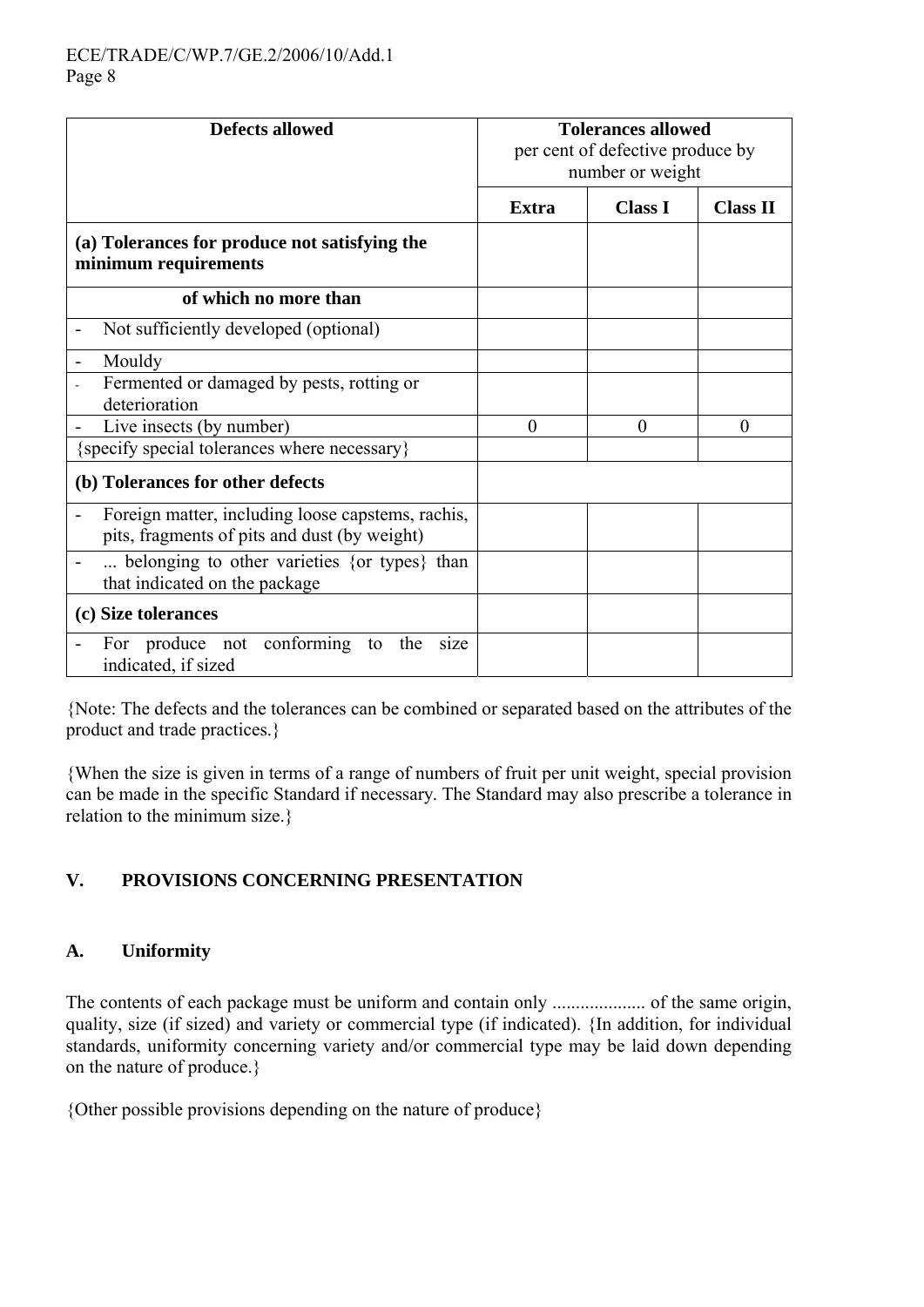| <b>Defects allowed</b>                                                                            | <b>Tolerances allowed</b><br>per cent of defective produce by<br>number or weight |                |                 |
|---------------------------------------------------------------------------------------------------|-----------------------------------------------------------------------------------|----------------|-----------------|
|                                                                                                   | <b>Extra</b>                                                                      | <b>Class I</b> | <b>Class II</b> |
| (a) Tolerances for produce not satisfying the<br>minimum requirements                             |                                                                                   |                |                 |
| of which no more than                                                                             |                                                                                   |                |                 |
| Not sufficiently developed (optional)                                                             |                                                                                   |                |                 |
| Mouldy<br>Fermented or damaged by pests, rotting or<br>deterioration                              |                                                                                   |                |                 |
| Live insects (by number)                                                                          | $\theta$                                                                          | $\theta$       | $\theta$        |
| {specify special tolerances where necessary}                                                      |                                                                                   |                |                 |
| (b) Tolerances for other defects                                                                  |                                                                                   |                |                 |
| Foreign matter, including loose capstems, rachis,<br>pits, fragments of pits and dust (by weight) |                                                                                   |                |                 |
| belonging to other varieties {or types} than<br>that indicated on the package                     |                                                                                   |                |                 |
| (c) Size tolerances                                                                               |                                                                                   |                |                 |
| For produce not conforming<br>the<br>to<br>s <sub>1</sub> ze<br>indicated, if sized               |                                                                                   |                |                 |

{Note: The defects and the tolerances can be combined or separated based on the attributes of the product and trade practices.}

{When the size is given in terms of a range of numbers of fruit per unit weight, special provision can be made in the specific Standard if necessary. The Standard may also prescribe a tolerance in relation to the minimum size.}

## **V. PROVISIONS CONCERNING PRESENTATION**

## **A. Uniformity**

The contents of each package must be uniform and contain only .................... of the same origin, quality, size (if sized) and variety or commercial type (if indicated). {In addition, for individual standards, uniformity concerning variety and/or commercial type may be laid down depending on the nature of produce.}

{Other possible provisions depending on the nature of produce}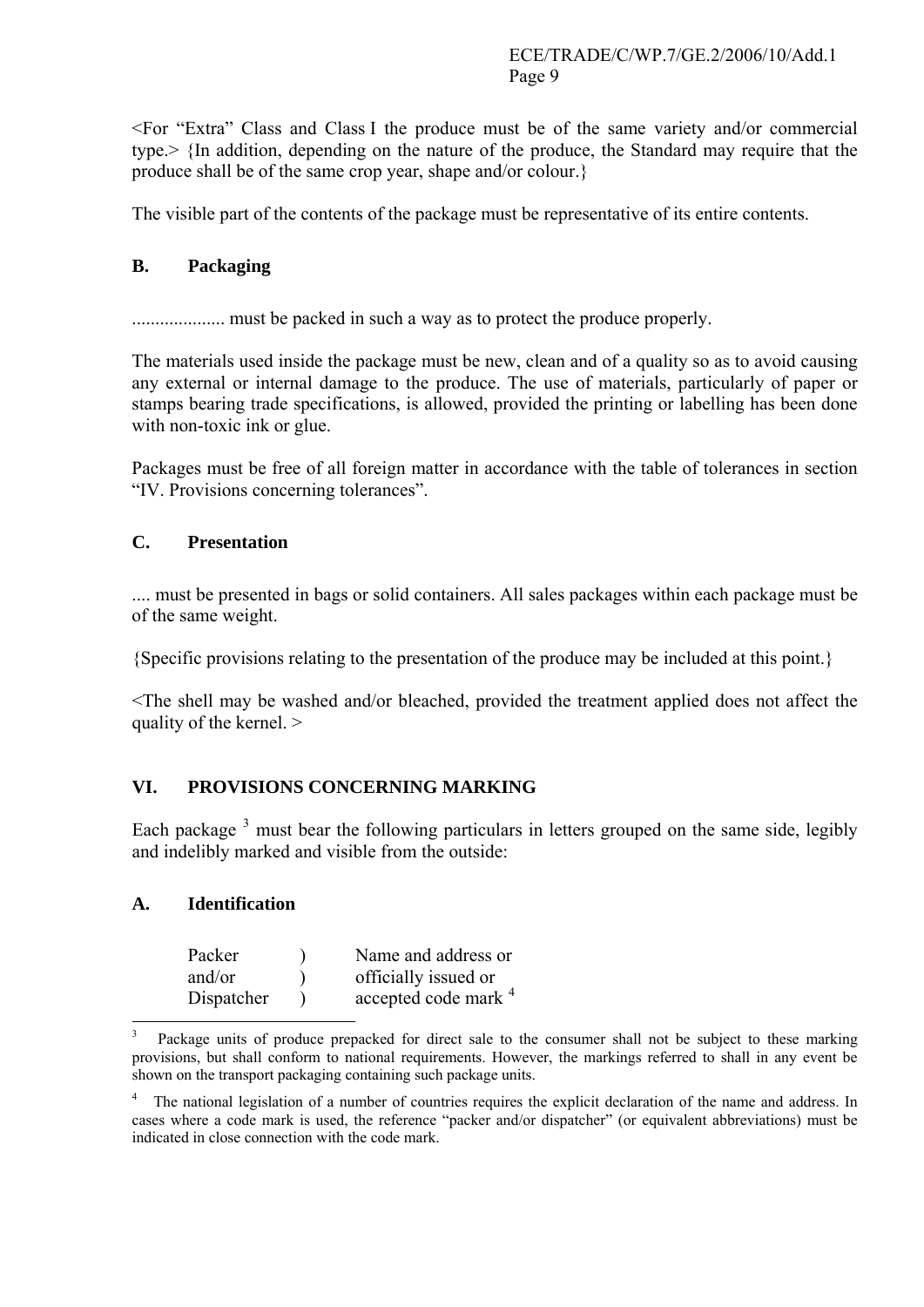<For "Extra" Class and Class I the produce must be of the same variety and/or commercial type.> {In addition, depending on the nature of the produce, the Standard may require that the produce shall be of the same crop year, shape and/or colour.}

The visible part of the contents of the package must be representative of its entire contents.

## **B. Packaging**

.................... must be packed in such a way as to protect the produce properly.

The materials used inside the package must be new, clean and of a quality so as to avoid causing any external or internal damage to the produce. The use of materials, particularly of paper or stamps bearing trade specifications, is allowed, provided the printing or labelling has been done with non-toxic ink or glue.

Packages must be free of all foreign matter in accordance with the table of tolerances in section "IV. Provisions concerning tolerances".

### **C. Presentation**

.... must be presented in bags or solid containers. All sales packages within each package must be of the same weight.

{Specific provisions relating to the presentation of the produce may be included at this point.}

<The shell may be washed and/or bleached, provided the treatment applied does not affect the quality of the kernel. >

### **VI. PROVISIONS CONCERNING MARKING**

Each package  $3$  must bear the following particulars in letters grouped on the same side, legibly and indelibly marked and visible from the outside:

### **A. Identification**

| Packer     | Name and address or             |
|------------|---------------------------------|
| and/or     | officially issued or            |
| Dispatcher | accepted code mark <sup>4</sup> |

<span id="page-8-0"></span><sup>1</sup> 3 Package units of produce prepacked for direct sale to the consumer shall not be subject to these marking provisions, but shall conform to national requirements. However, the markings referred to shall in any event be shown on the transport packaging containing such package units.

<span id="page-8-1"></span><sup>4</sup> The national legislation of a number of countries requires the explicit declaration of the name and address. In cases where a code mark is used, the reference "packer and/or dispatcher" (or equivalent abbreviations) must be indicated in close connection with the code mark.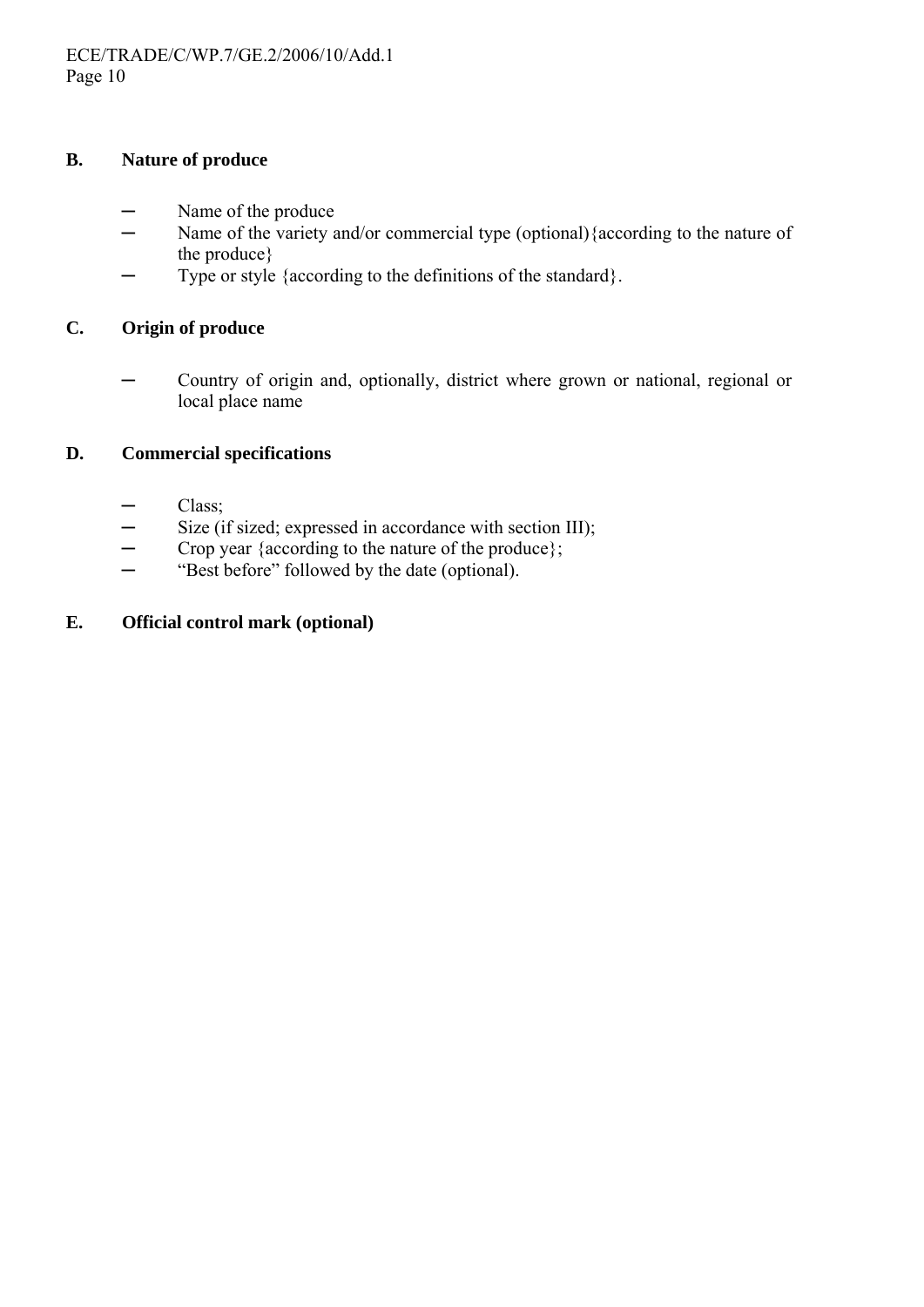#### **B. Nature of produce**

- Name of the produce
- ─ Name of the variety and/or commercial type (optional){according to the nature of the produce}
- ─ Type or style {according to the definitions of the standard}.

#### **C. Origin of produce**

─ Country of origin and, optionally, district where grown or national, regional or local place name

### **D. Commercial specifications**

- Class;
- $-$  Size (if sized; expressed in accordance with section III);
- ─ Crop year {according to the nature of the produce};
- ─ "Best before" followed by the date (optional).

### **E. Official control mark (optional)**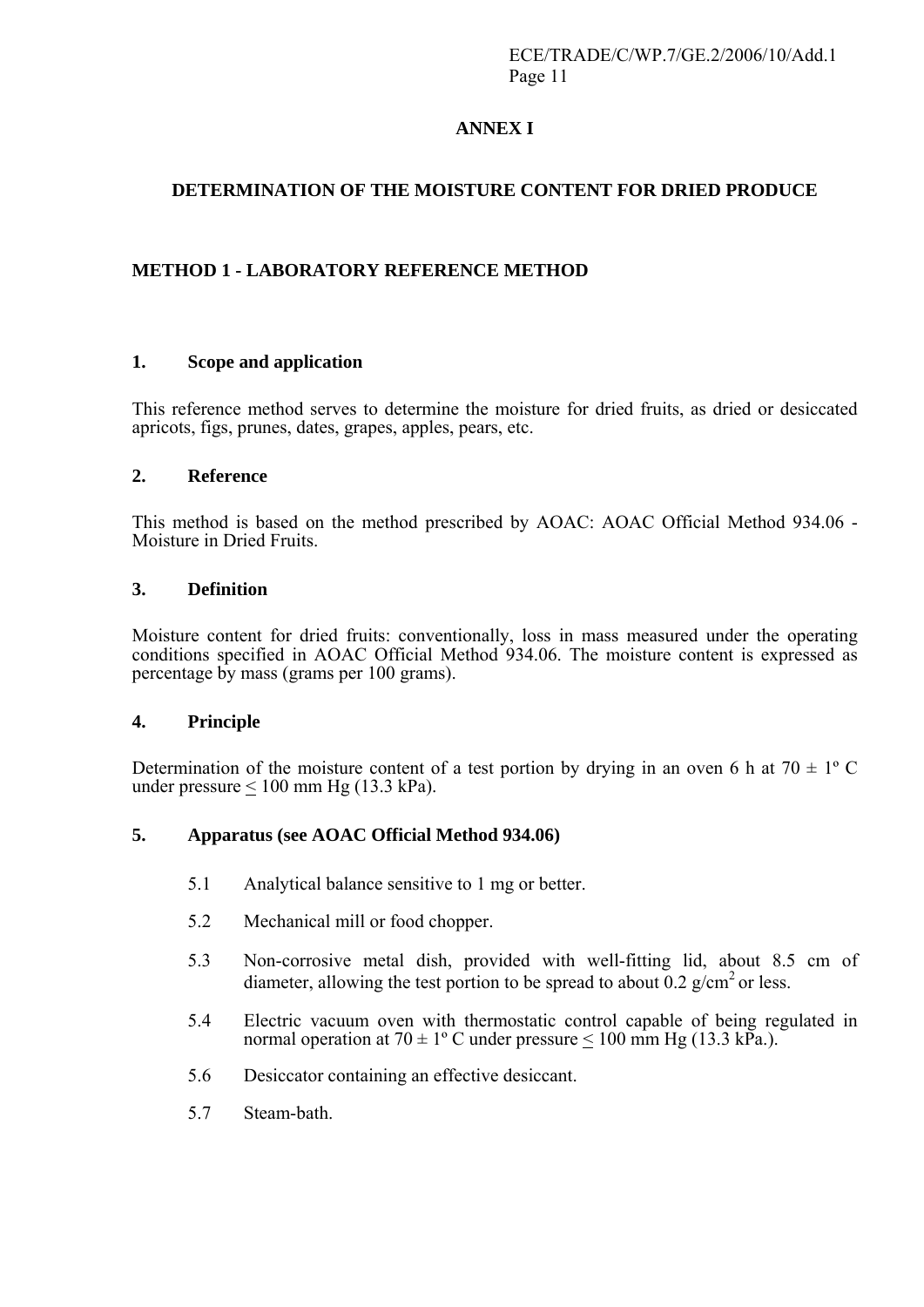## **ANNEX I**

## **DETERMINATION OF THE MOISTURE CONTENT FOR DRIED PRODUCE**

### **METHOD 1 - LABORATORY REFERENCE METHOD**

#### **1. Scope and application**

This reference method serves to determine the moisture for dried fruits, as dried or desiccated apricots, figs, prunes, dates, grapes, apples, pears, etc.

#### **2. Reference**

This method is based on the method prescribed by AOAC: AOAC Official Method 934.06 - Moisture in Dried Fruits.

#### **3. Definition**

Moisture content for dried fruits: conventionally, loss in mass measured under the operating conditions specified in AOAC Official Method 934.06. The moisture content is expressed as percentage by mass (grams per 100 grams).

#### **4. Principle**

Determination of the moisture content of a test portion by drying in an oven 6 h at  $70 \pm 1$ °C under pressure  $< 100$  mm Hg (13.3 kPa).

### **5. Apparatus (see AOAC Official Method 934.06)**

- 5.1 Analytical balance sensitive to 1 mg or better.
- 5.2 Mechanical mill or food chopper.
- 5.3 Non-corrosive metal dish, provided with well-fitting lid, about 8.5 cm of diameter, allowing the test portion to be spread to about 0.2  $g/cm^2$  or less.
- 5.4 Electric vacuum oven with thermostatic control capable of being regulated in normal operation at  $70 \pm 1$ °C under pressure < 100 mm Hg (13.3 kPa.).
- 5.6 Desiccator containing an effective desiccant.
- 5.7 Steam-bath.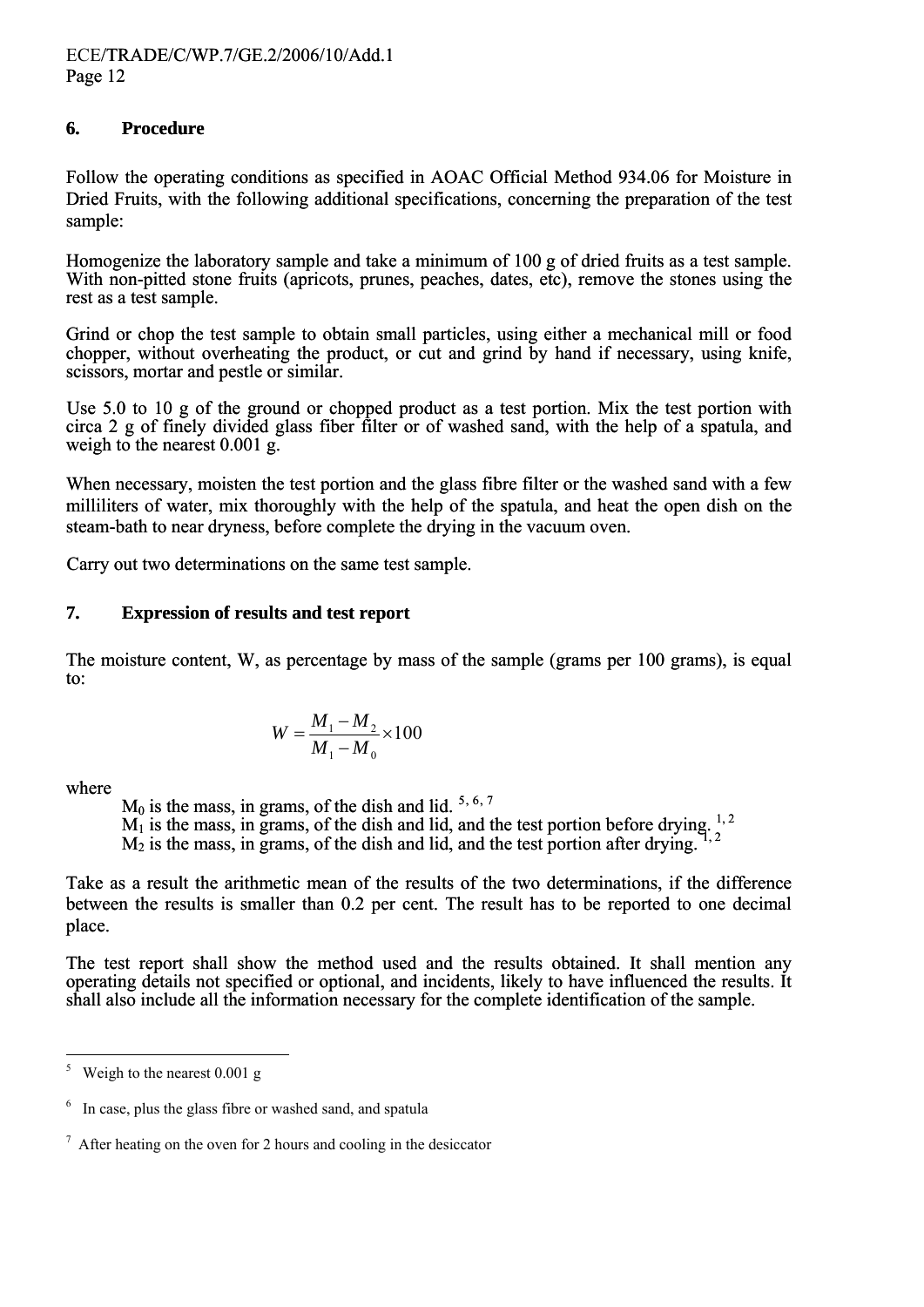#### **6. Procedure**

Follow the operating conditions as specified in AOAC Official Method 934.06 for Moisture in Dried Fruits, with the following additional specifications, concerning the preparation of the test sample:

Homogenize the laboratory sample and take a minimum of 100 g of dried fruits as a test sample. With non-pitted stone fruits (apricots, prunes, peaches, dates, etc), remove the stones using the rest as a test sample.

Grind or chop the test sample to obtain small particles, using either a mechanical mill or food chopper, without overheating the product, or cut and grind by hand if necessary, using knife, scissors, mortar and pestle or similar.

Use 5.0 to 10 g of the ground or chopped product as a test portion. Mix the test portion with circa 2 g of finely divided glass fiber filter or of washed sand, with the help of a spatula, and weigh to the nearest 0.001 g.

When necessary, moisten the test portion and the glass fibre filter or the washed sand with a few milliliters of water, mix thoroughly with the help of the spatula, and heat the open dish on the steam-bath to near dryness, before complete the drying in the vacuum oven.

Carry out two determinations on the same test sample.

#### **7. Expression of results and test report**

The moisture content, W, as percentage by mass of the sample (grams per 100 grams), is equal to:

$$
W = \frac{M_1 - M_2}{M_1 - M_0} \times 100
$$

where

 $M_0$  is the mass, in grams, of the dish and lid. <sup>[5,](#page-11-0) [6](#page-11-2)[,](#page-11-1) [7](#page-11-2)</sup>

 $M_1$  is the mass, in grams, of the dish and lid, and the test portion before drying.  $1, 2$ 

 $M<sub>2</sub>$  is the mass, in grams, of the dish and lid, and the test portion after drying.

Take as a result the arithmetic mean of the results of the two determinations, if the difference between the results is smaller than 0.2 per cent. The result has to be reported to one decimal place.

The test report shall show the method used and the results obtained. It shall mention any operating details not specified or optional, and incidents, likely to have influenced the results. It shall also include all the information necessary for the complete identification of the sample.

<span id="page-11-0"></span> $\frac{1}{5}$ Weigh to the nearest 0.001 g

<span id="page-11-1"></span><sup>&</sup>lt;sup>6</sup> In case, plus the glass fibre or washed sand, and spatula

<span id="page-11-2"></span> $\frac{7}{1}$  After heating on the oven for 2 hours and cooling in the desiccator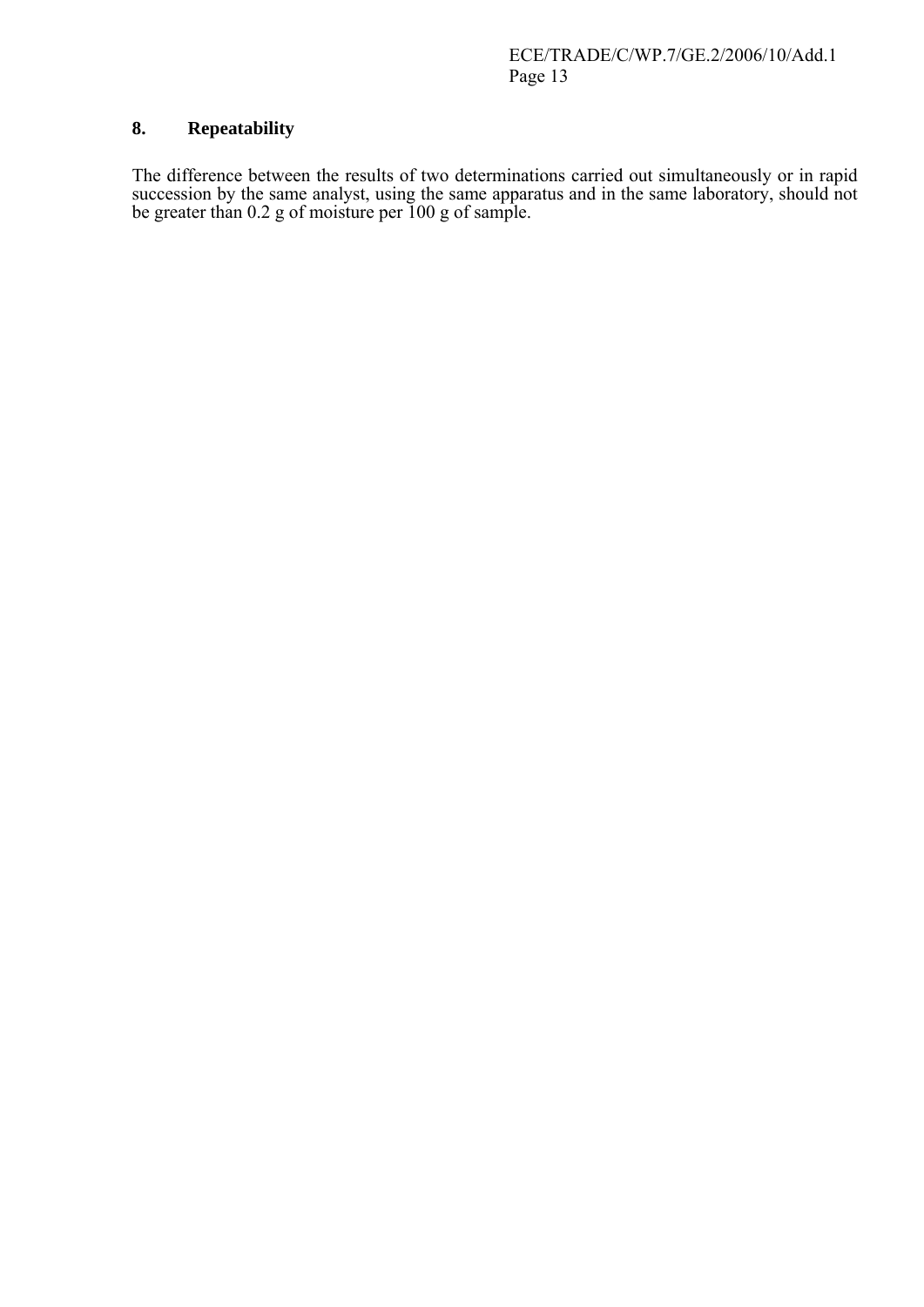#### **8. Repeatability**

The difference between the results of two determinations carried out simultaneously or in rapid succession by the same analyst, using the same apparatus and in the same laboratory, should not be greater than 0.2 g of moisture per 100 g of sample.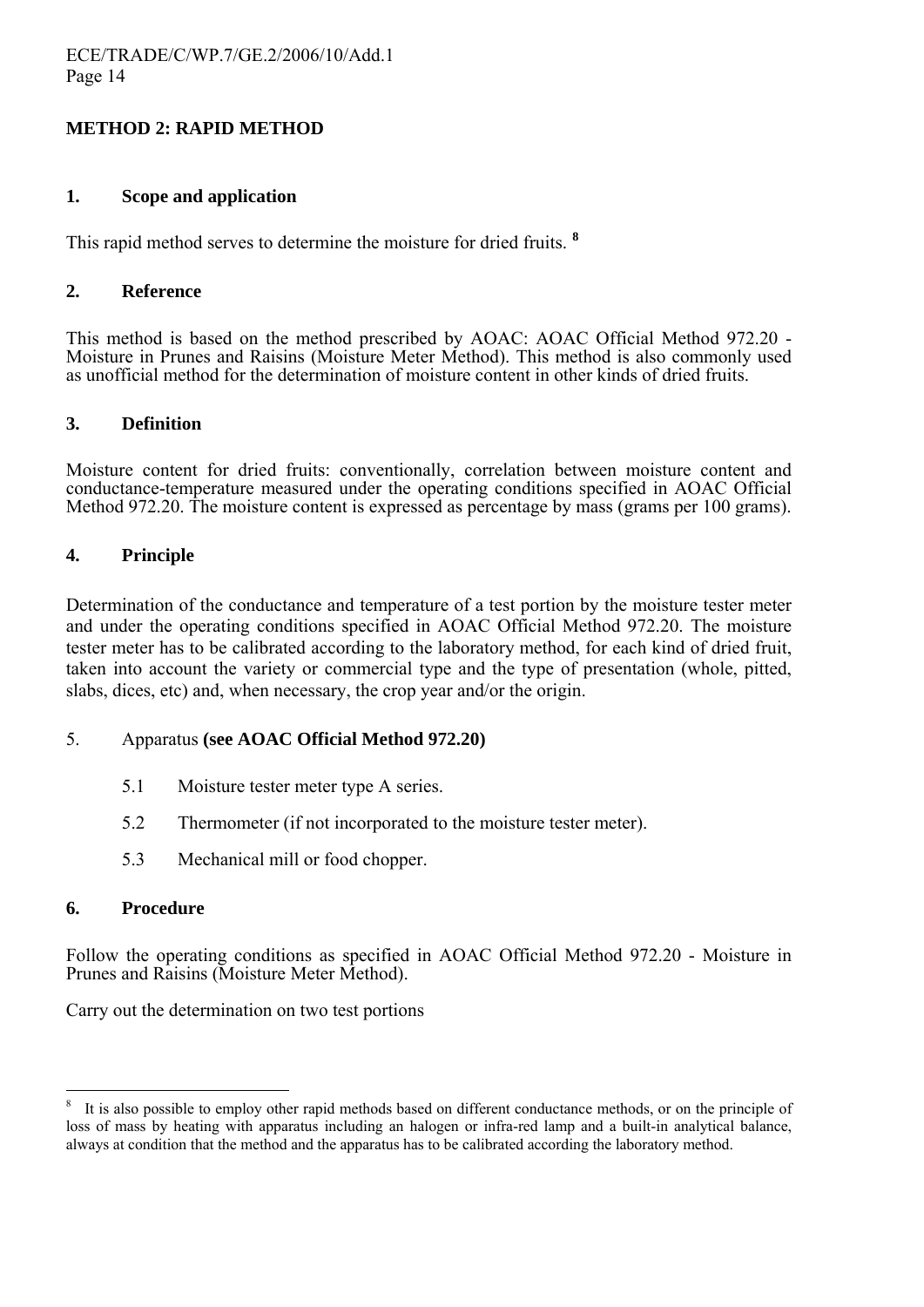#### **METHOD 2: RAPID METHOD**

#### **1. Scope and application**

This rapid method serves to determine the moisture for dried fruits. **[8](#page-13-0)**

#### **2. Reference**

This method is based on the method prescribed by AOAC: AOAC Official Method 972.20 - Moisture in Prunes and Raisins (Moisture Meter Method). This method is also commonly used as unofficial method for the determination of moisture content in other kinds of dried fruits.

#### **3. Definition**

Moisture content for dried fruits: conventionally, correlation between moisture content and conductance-temperature measured under the operating conditions specified in AOAC Official Method 972.20. The moisture content is expressed as percentage by mass (grams per 100 grams).

#### **4. Principle**

Determination of the conductance and temperature of a test portion by the moisture tester meter and under the operating conditions specified in AOAC Official Method 972.20. The moisture tester meter has to be calibrated according to the laboratory method, for each kind of dried fruit, taken into account the variety or commercial type and the type of presentation (whole, pitted, slabs, dices, etc) and, when necessary, the crop year and/or the origin.

#### 5. Apparatus **(see AOAC Official Method 972.20)**

- 5.1 Moisture tester meter type A series.
- 5.2 Thermometer (if not incorporated to the moisture tester meter).
- 5.3 Mechanical mill or food chopper.

#### **6. Procedure**

 $\overline{a}$ 

Follow the operating conditions as specified in AOAC Official Method 972.20 - Moisture in Prunes and Raisins (Moisture Meter Method).

Carry out the determination on two test portions

<span id="page-13-0"></span><sup>8</sup> It is also possible to employ other rapid methods based on different conductance methods, or on the principle of loss of mass by heating with apparatus including an halogen or infra-red lamp and a built-in analytical balance, always at condition that the method and the apparatus has to be calibrated according the laboratory method.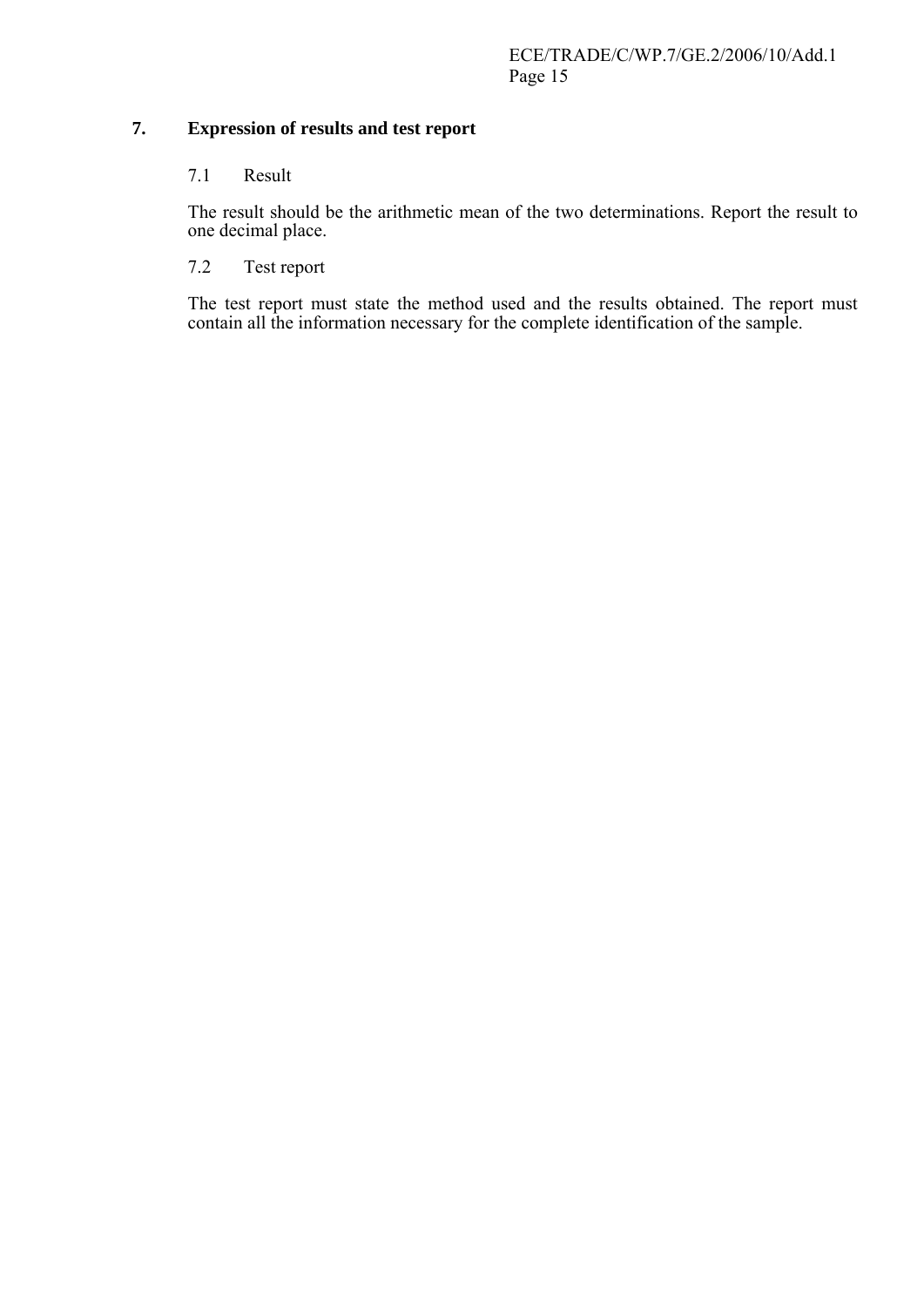#### **7. Expression of results and test report**

#### 7.1 Result

The result should be the arithmetic mean of the two determinations. Report the result to one decimal place.

## 7.2 Test report

The test report must state the method used and the results obtained. The report must contain all the information necessary for the complete identification of the sample.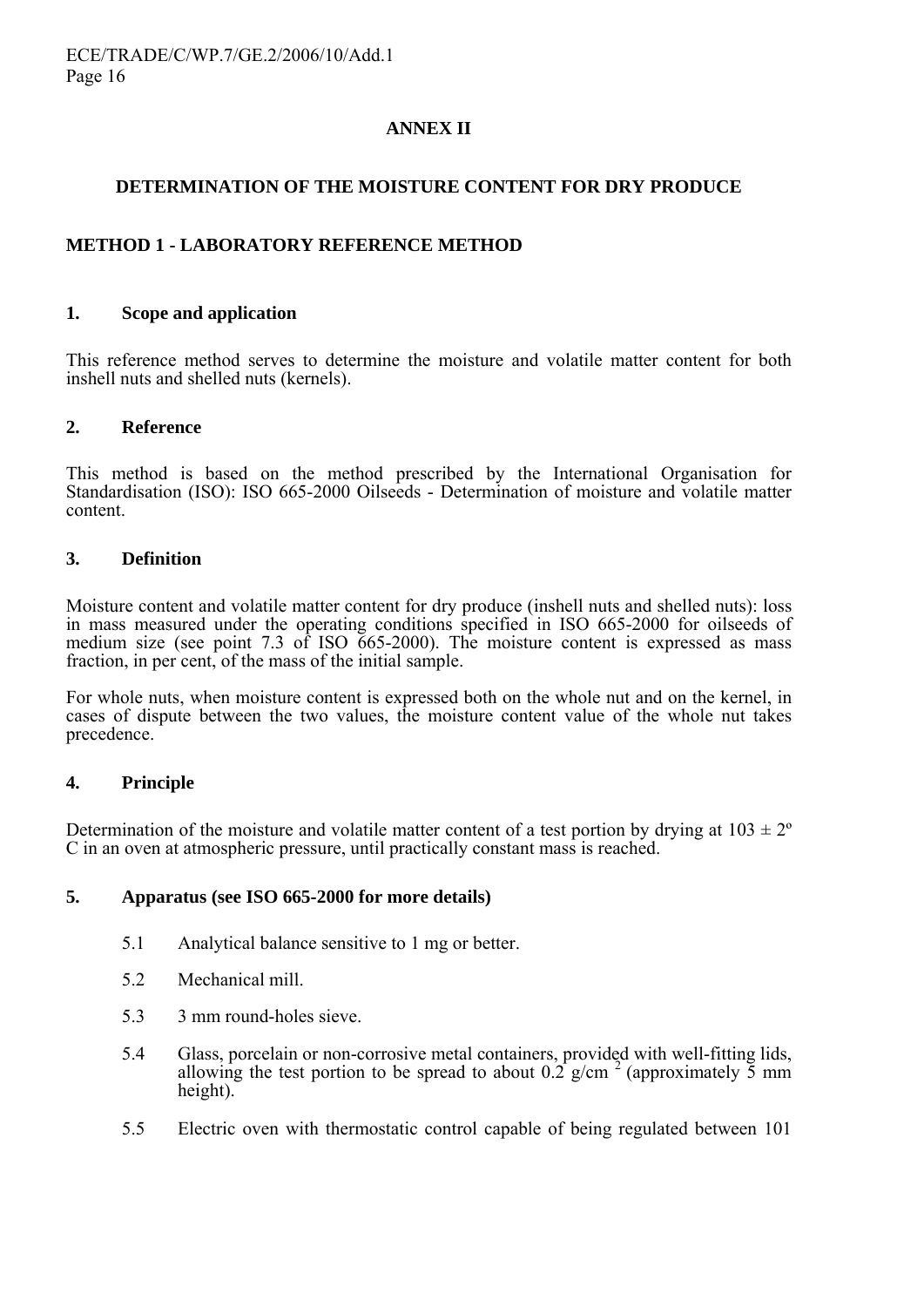#### **ANNEX II**

#### **DETERMINATION OF THE MOISTURE CONTENT FOR DRY PRODUCE**

### **METHOD 1 - LABORATORY REFERENCE METHOD**

#### **1. Scope and application**

This reference method serves to determine the moisture and volatile matter content for both inshell nuts and shelled nuts (kernels).

#### **2. Reference**

This method is based on the method prescribed by the International Organisation for Standardisation (ISO): ISO 665-2000 Oilseeds - Determination of moisture and volatile matter content.

#### **3. Definition**

Moisture content and volatile matter content for dry produce (inshell nuts and shelled nuts): loss in mass measured under the operating conditions specified in ISO 665-2000 for oilseeds of medium size (see point 7.3 of ISO 665-2000). The moisture content is expressed as mass fraction, in per cent, of the mass of the initial sample.

For whole nuts, when moisture content is expressed both on the whole nut and on the kernel, in cases of dispute between the two values, the moisture content value of the whole nut takes precedence.

#### **4. Principle**

Determination of the moisture and volatile matter content of a test portion by drying at  $103 \pm 2^{\circ}$ C in an oven at atmospheric pressure, until practically constant mass is reached.

#### **5. Apparatus (see ISO 665-2000 for more details)**

- 5.1 Analytical balance sensitive to 1 mg or better.
- 5.2 Mechanical mill.
- 5.3 3 mm round-holes sieve.
- 5.4 Glass, porcelain or non-corrosive metal containers, provided with well-fitting lids, allowing the test portion to be spread to about  $0.2$  g/cm<sup>2</sup> (approximately 5 mm) height).
- 5.5 Electric oven with thermostatic control capable of being regulated between 101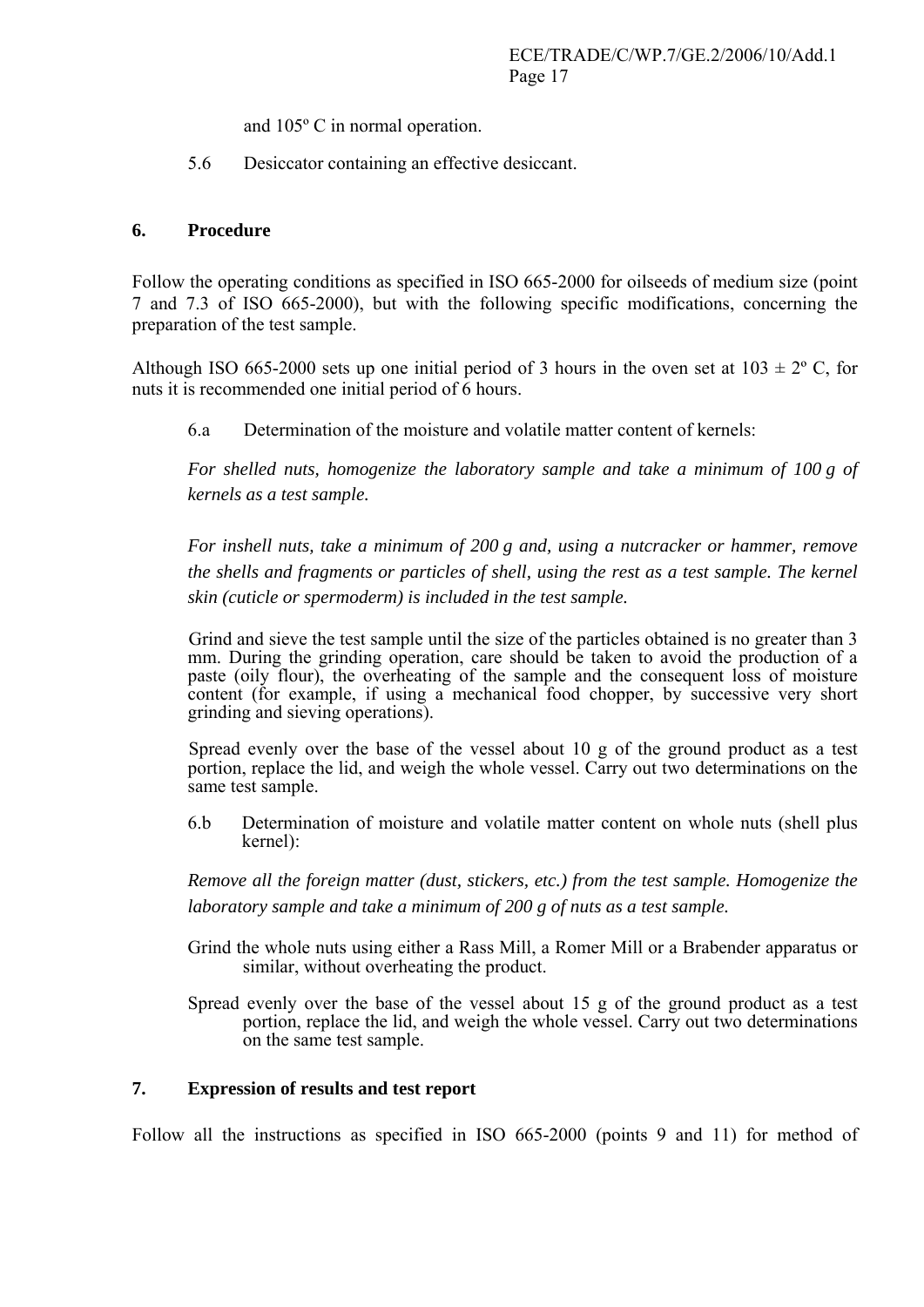and 105° C in normal operation.<br>5.6 Desiccator containing an effective desiccant.

#### **6. Procedure**

Follow the operating conditions as specified in ISO 665-2000 for oilseeds of medium size (point 7 and 7.3 of ISO 665-2000), but with the following specific modifications, concerning the preparation of the test sample.

Although ISO 665-2000 sets up one initial period of 3 hours in the oven set at  $103 \pm 2^{\circ}$  C, for nuts it is recommended one initial period of 6 hours.

6.a Determination of the moisture and volatile matter content of kernels:

*For shelled nuts, homogenize the laboratory sample and take a minimum of 100 g of kernels as a test sample.* 

*For inshell nuts, take a minimum of 200 g and, using a nutcracker or hammer, remove the shells and fragments or particles of shell, using the rest as a test sample. The kernel skin (cuticle or spermoderm) is included in the test sample.* 

Grind and sieve the test sample until the size of the particles obtained is no greater than 3 mm. During the grinding operation, care should be taken to avoid the production of a paste (oily flour), the overheating of the sample and the consequent loss of moisture content (for example, if using a mechanical food chopper, by successive very short grinding and sieving operations).

Spread evenly over the base of the vessel about 10 g of the ground product as a test portion, replace the lid, and weigh the whole vessel. Carry out two determinations on the same test sample.

6.b Determination of moisture and volatile matter content on whole nuts (shell plus kernel):

*Remove all the foreign matter (dust, stickers, etc.) from the test sample. Homogenize the laboratory sample and take a minimum of 200 g of nuts as a test sample.* 

- Grind the whole nuts using either a Rass Mill, a Romer Mill or a Brabender apparatus or similar, without overheating the product.
- Spread evenly over the base of the vessel about 15 g of the ground product as a test portion, replace the lid, and weigh the whole vessel. Carry out two determinations on the same test sample.

#### **7. Expression of results and test report**

Follow all the instructions as specified in ISO 665-2000 (points 9 and 11) for method of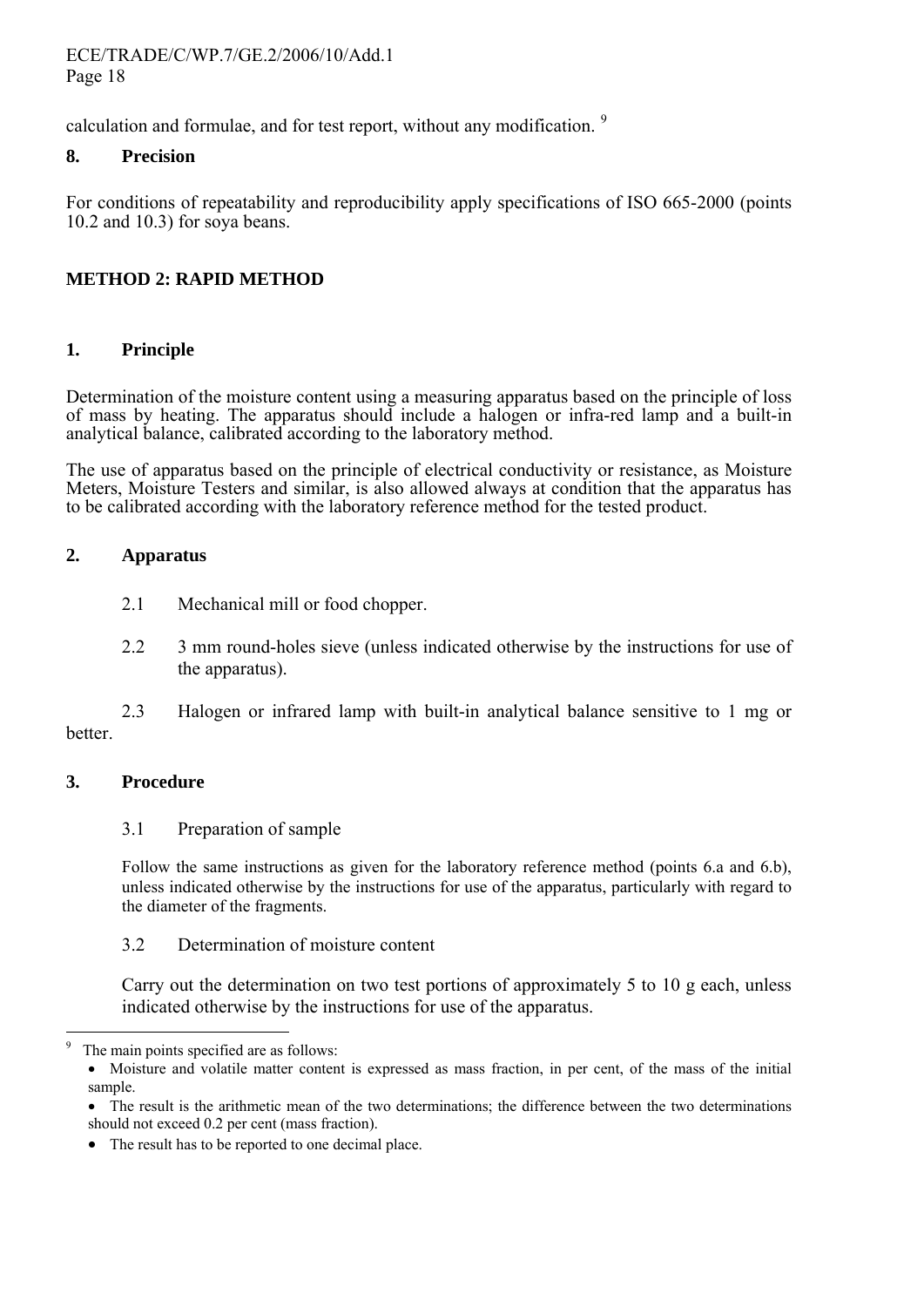ECE/TRADE/C/WP.7/GE.2/2006/10/Add.1 Page 18

calculation and formulae, and for test report, without any modification. <sup>[9](#page-17-0)</sup>

#### **8. Precision**

For conditions of repeatability and reproducibility apply specifications of ISO 665-2000 (points 10.2 and 10.3) for soya beans.

### **METHOD 2: RAPID METHOD**

#### **1. Principle**

Determination of the moisture content using a measuring apparatus based on the principle of loss of mass by heating. The apparatus should include a halogen or infra-red lamp and a built-in analytical balance, calibrated according to the laboratory method.

The use of apparatus based on the principle of electrical conductivity or resistance, as Moisture Meters, Moisture Testers and similar, is also allowed always at condition that the apparatus has to be calibrated according with the laboratory reference method for the tested product.

#### **2. Apparatus**

- 2.1 Mechanical mill or food chopper.
- 2.2 3 mm round-holes sieve (unless indicated otherwise by the instructions for use of the apparatus).

 2.3 Halogen or infrared lamp with built-in analytical balance sensitive to 1 mg or **better** 

#### **3. Procedure**

 $\overline{a}$ 

#### 3.1 Preparation of sample

Follow the same instructions as given for the laboratory reference method (points 6.a and 6.b), unless indicated otherwise by the instructions for use of the apparatus, particularly with regard to the diameter of the fragments.

#### 3.2 Determination of moisture content

Carry out the determination on two test portions of approximately 5 to 10 g each, unless indicated otherwise by the instructions for use of the apparatus.

<span id="page-17-0"></span><sup>9</sup> The main points specified are as follows:

<sup>•</sup> Moisture and volatile matter content is expressed as mass fraction, in per cent, of the mass of the initial sample.

The result is the arithmetic mean of the two determinations; the difference between the two determinations should not exceed 0.2 per cent (mass fraction).

<sup>•</sup> The result has to be reported to one decimal place.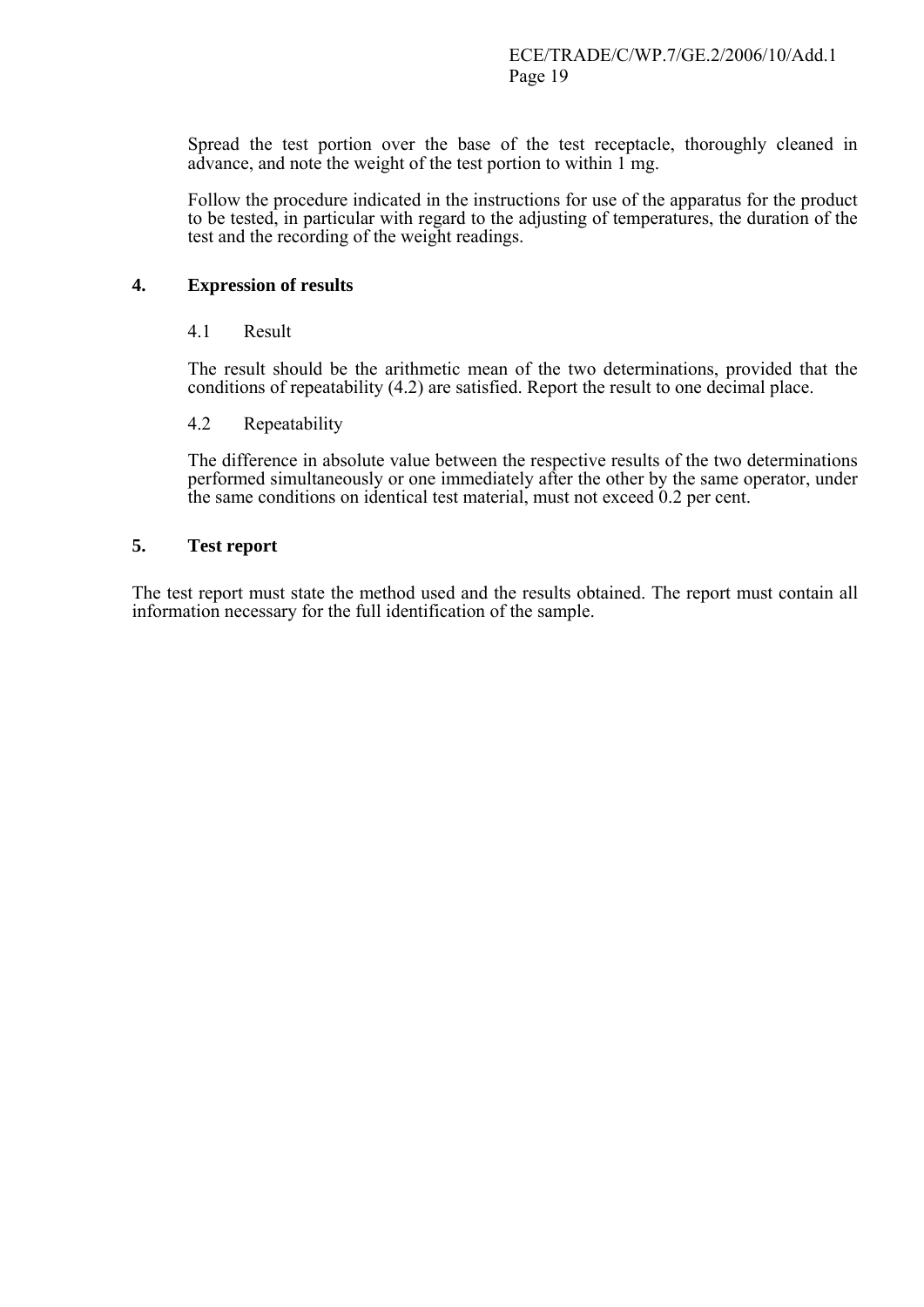Spread the test portion over the base of the test receptacle, thoroughly cleaned in advance, and note the weight of the test portion to within 1 mg.

Follow the procedure indicated in the instructions for use of the apparatus for the product to be tested, in particular with regard to the adjusting of temperatures, the duration of the test and the recording of the weight readings.

#### **4. Expression of results**

#### 4.1 Result

The result should be the arithmetic mean of the two determinations, provided that the conditions of repeatability (4.2) are satisfied. Report the result to one decimal place.

#### 4.2 Repeatability

The difference in absolute value between the respective results of the two determinations performed simultaneously or one immediately after the other by the same operator, under the same conditions on identical test material, must not exceed 0.2 per cent.

#### **5. Test report**

The test report must state the method used and the results obtained. The report must contain all information necessary for the full identification of the sample.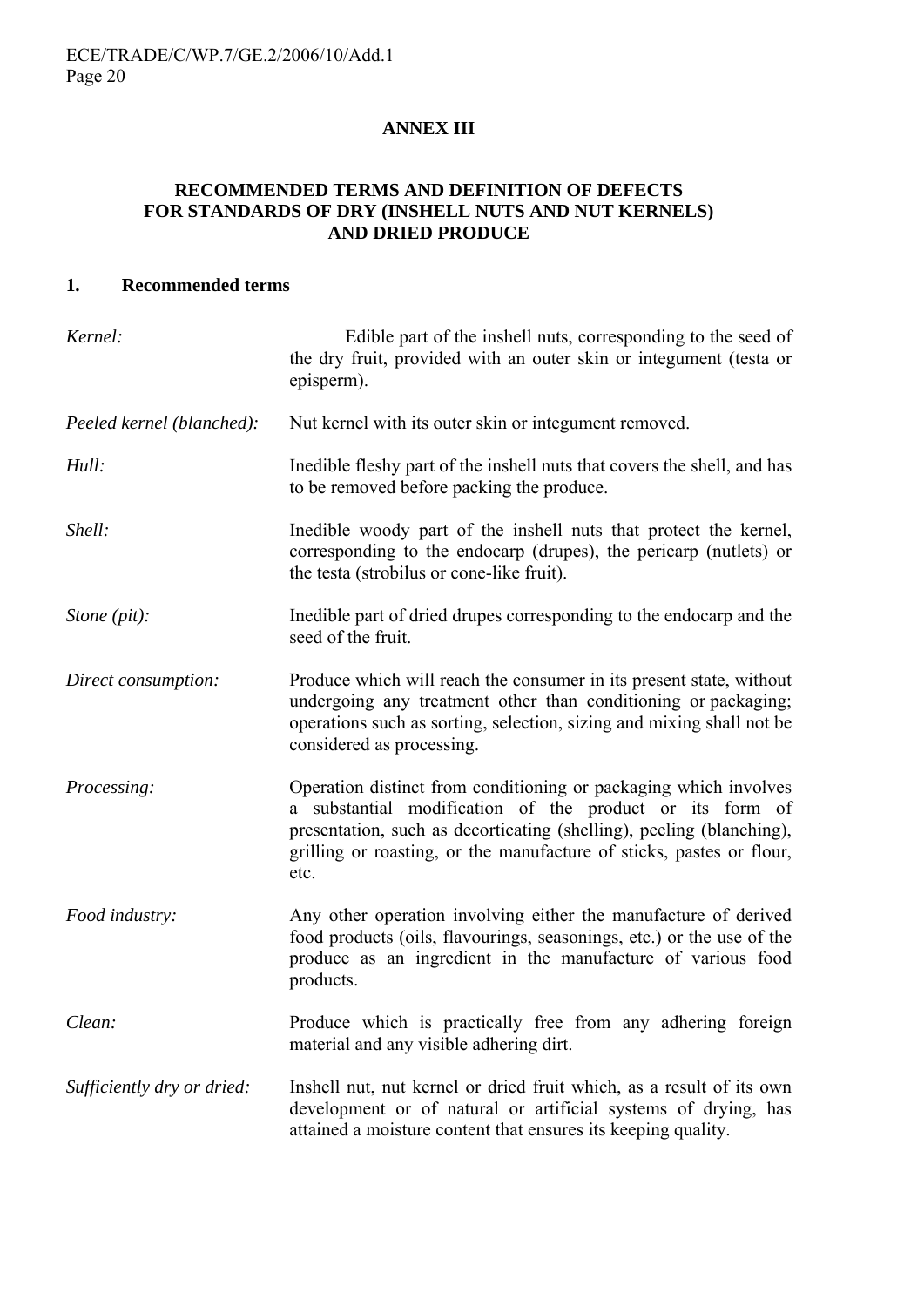### **ANNEX III**

#### **RECOMMENDED TERMS AND DEFINITION OF DEFECTS FOR STANDARDS OF DRY (INSHELL NUTS AND NUT KERNELS) AND DRIED PRODUCE**

#### **1. Recommended terms**

| Kernel:                    | Edible part of the inshell nuts, corresponding to the seed of<br>the dry fruit, provided with an outer skin or integument (testa or<br>episperm).                                                                                                                                    |
|----------------------------|--------------------------------------------------------------------------------------------------------------------------------------------------------------------------------------------------------------------------------------------------------------------------------------|
| Peeled kernel (blanched):  | Nut kernel with its outer skin or integument removed.                                                                                                                                                                                                                                |
| Hull:                      | Inedible fleshy part of the inshell nuts that covers the shell, and has<br>to be removed before packing the produce.                                                                                                                                                                 |
| Shell:                     | Inedible woody part of the inshell nuts that protect the kernel,<br>corresponding to the endocarp (drupes), the pericarp (nutlets) or<br>the testa (strobilus or cone-like fruit).                                                                                                   |
| Stone (pit):               | Inedible part of dried drupes corresponding to the endocarp and the<br>seed of the fruit.                                                                                                                                                                                            |
| Direct consumption:        | Produce which will reach the consumer in its present state, without<br>undergoing any treatment other than conditioning or packaging;<br>operations such as sorting, selection, sizing and mixing shall not be<br>considered as processing.                                          |
| Processing:                | Operation distinct from conditioning or packaging which involves<br>a substantial modification of the product or its form of<br>presentation, such as decorticating (shelling), peeling (blanching),<br>grilling or roasting, or the manufacture of sticks, pastes or flour,<br>etc. |
| Food industry:             | Any other operation involving either the manufacture of derived<br>food products (oils, flavourings, seasonings, etc.) or the use of the<br>produce as an ingredient in the manufacture of various food<br>products.                                                                 |
| Clean:                     | Produce which is practically free from any adhering foreign<br>material and any visible adhering dirt.                                                                                                                                                                               |
| Sufficiently dry or dried: | Inshell nut, nut kernel or dried fruit which, as a result of its own<br>development or of natural or artificial systems of drying, has<br>attained a moisture content that ensures its keeping quality.                                                                              |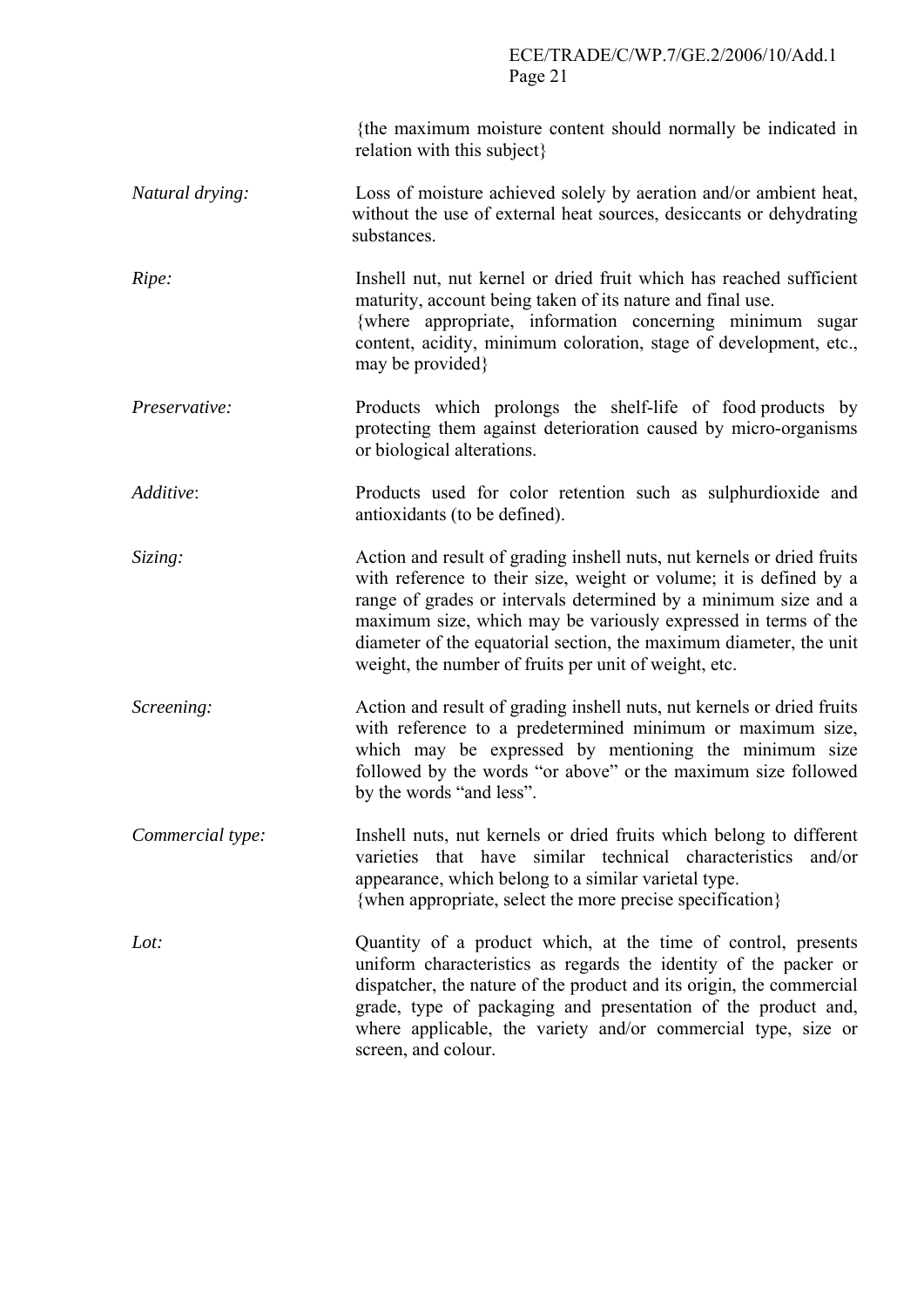## ECE/TRADE/C/WP.7/GE.2/2006/10/Add.1 Page 21

|                  | {the maximum moisture content should normally be indicated in<br>relation with this subject                                                                                                                                                                                                                                                                                                                      |
|------------------|------------------------------------------------------------------------------------------------------------------------------------------------------------------------------------------------------------------------------------------------------------------------------------------------------------------------------------------------------------------------------------------------------------------|
| Natural drying:  | Loss of moisture achieved solely by aeration and/or ambient heat,<br>without the use of external heat sources, desiccants or dehydrating<br>substances.                                                                                                                                                                                                                                                          |
| Ripe:            | Inshell nut, nut kernel or dried fruit which has reached sufficient<br>maturity, account being taken of its nature and final use.<br>{where appropriate, information concerning minimum sugar<br>content, acidity, minimum coloration, stage of development, etc.,<br>may be provided }                                                                                                                          |
| Preservative:    | Products which prolongs the shelf-life of food products by<br>protecting them against deterioration caused by micro-organisms<br>or biological alterations.                                                                                                                                                                                                                                                      |
| Additive:        | Products used for color retention such as sulphurdioxide and<br>antioxidants (to be defined).                                                                                                                                                                                                                                                                                                                    |
| Sizing:          | Action and result of grading inshell nuts, nut kernels or dried fruits<br>with reference to their size, weight or volume; it is defined by a<br>range of grades or intervals determined by a minimum size and a<br>maximum size, which may be variously expressed in terms of the<br>diameter of the equatorial section, the maximum diameter, the unit<br>weight, the number of fruits per unit of weight, etc. |
| Screening:       | Action and result of grading inshell nuts, nut kernels or dried fruits<br>with reference to a predetermined minimum or maximum size,<br>which may be expressed by mentioning the minimum size<br>followed by the words "or above" or the maximum size followed<br>by the words "and less".                                                                                                                       |
| Commercial type: | Inshell nuts, nut kernels or dried fruits which belong to different<br>varieties that have similar technical characteristics and/or<br>appearance, which belong to a similar varietal type.<br>{when appropriate, select the more precise specification}                                                                                                                                                         |
| Lot:             | Quantity of a product which, at the time of control, presents<br>uniform characteristics as regards the identity of the packer or<br>dispatcher, the nature of the product and its origin, the commercial<br>grade, type of packaging and presentation of the product and,<br>where applicable, the variety and/or commercial type, size or<br>screen, and colour.                                               |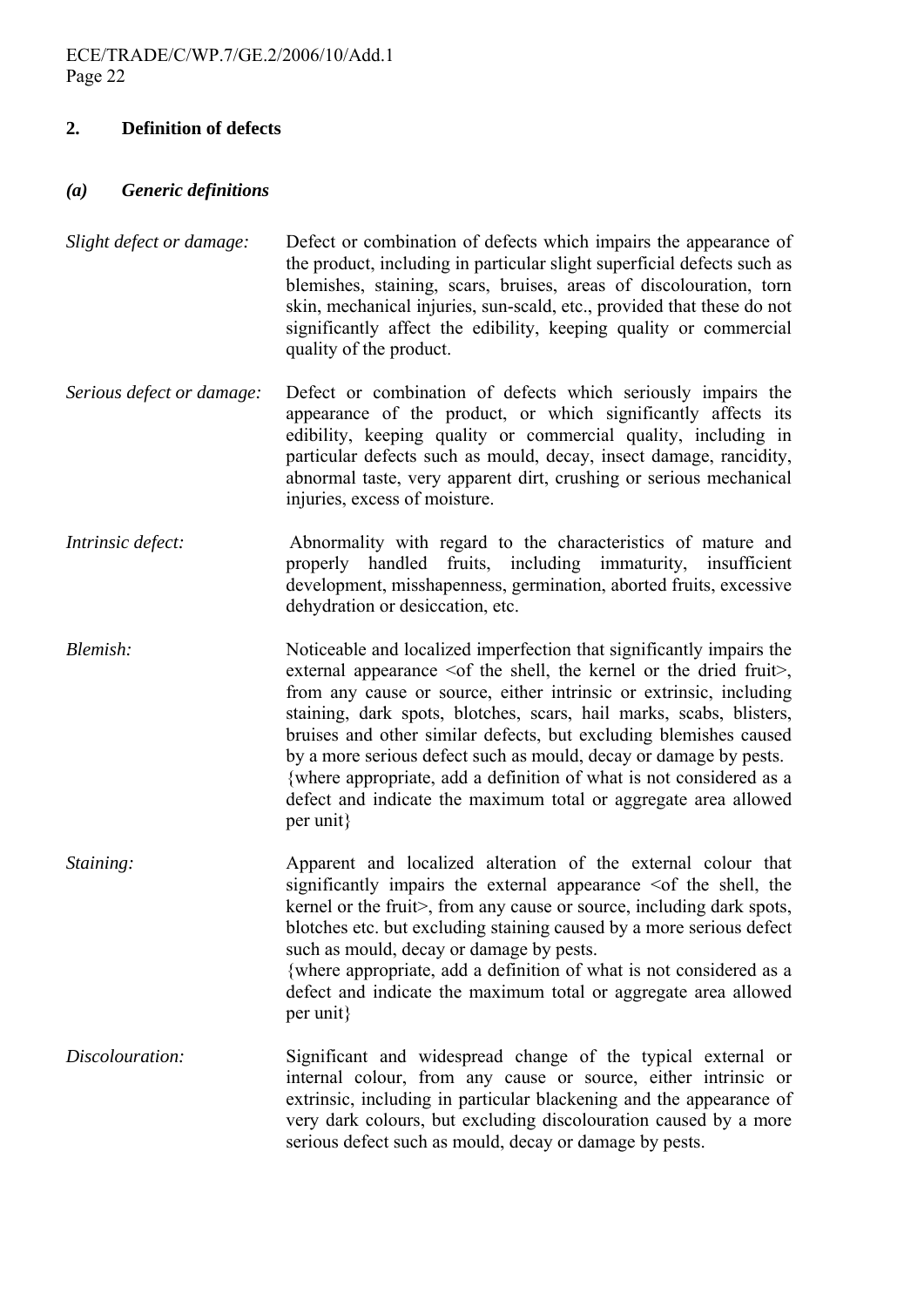### **2. Definition of defects**

#### *(a) Generic definitions*

- *Slight defect or damage:* Defect or combination of defects which impairs the appearance of the product, including in particular slight superficial defects such as blemishes, staining, scars, bruises, areas of discolouration, torn skin, mechanical injuries, sun-scald, etc., provided that these do not significantly affect the edibility, keeping quality or commercial quality of the product.
- *Serious defect or damage:* Defect or combination of defects which seriously impairs the appearance of the product, or which significantly affects its edibility, keeping quality or commercial quality, including in particular defects such as mould, decay, insect damage, rancidity, abnormal taste, very apparent dirt, crushing or serious mechanical injuries, excess of moisture.
- *Intrinsic defect:* Abnormality with regard to the characteristics of mature and properly handled fruits, including immaturity, insufficient development, misshapenness, germination, aborted fruits, excessive dehydration or desiccation, etc.
- *Blemish:* Noticeable and localized imperfection that significantly impairs the external appearance  $\leq$  of the shell, the kernel or the dried fruit $\geq$ , from any cause or source, either intrinsic or extrinsic, including staining, dark spots, blotches, scars, hail marks, scabs, blisters, bruises and other similar defects, but excluding blemishes caused by a more serious defect such as mould, decay or damage by pests. {where appropriate, add a definition of what is not considered as a defect and indicate the maximum total or aggregate area allowed per unit}
- *Staining:* **Apparent and localized alteration of the external colour that** significantly impairs the external appearance  $\leq$  of the shell, the kernel or the fruit>, from any cause or source, including dark spots, blotches etc. but excluding staining caused by a more serious defect such as mould, decay or damage by pests. {where appropriate, add a definition of what is not considered as a defect and indicate the maximum total or aggregate area allowed per unit}
- *Discolouration:* Significant and widespread change of the typical external or internal colour, from any cause or source, either intrinsic or extrinsic, including in particular blackening and the appearance of very dark colours, but excluding discolouration caused by a more serious defect such as mould, decay or damage by pests.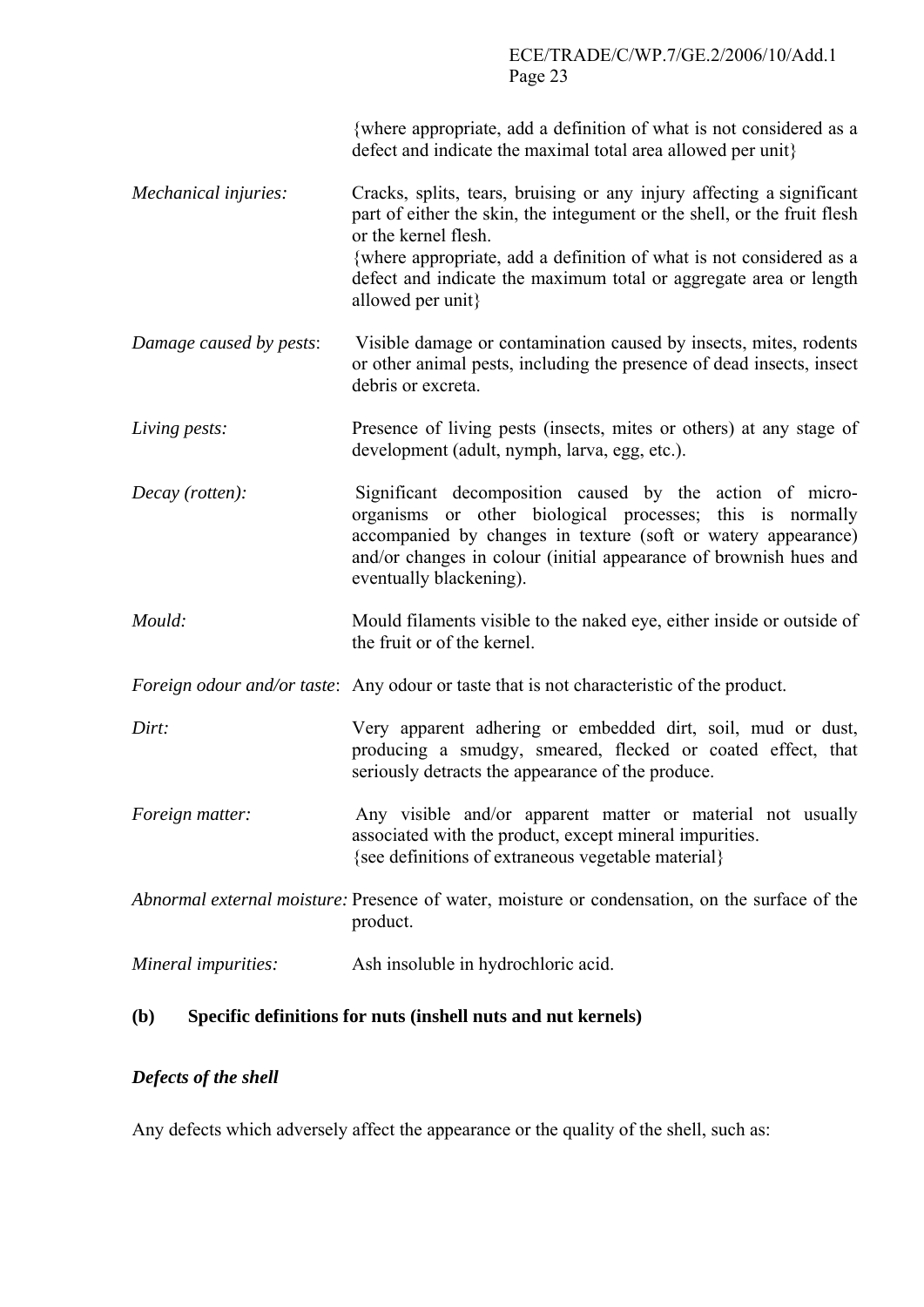{where appropriate, add a definition of what is not considered as a defect and indicate the maximal total area allowed per unit}

- *Mechanical injuries:* Cracks, splits, tears, bruising or any injury affecting a significant part of either the skin, the integument or the shell, or the fruit flesh or the kernel flesh. {where appropriate, add a definition of what is not considered as a defect and indicate the maximum total or aggregate area or length allowed per unit}
- *Damage caused by pests*: Visible damage or contamination caused by insects, mites, rodents or other animal pests, including the presence of dead insects, insect debris or excreta.
- *Living pests:* Presence of living pests (insects, mites or others) at any stage of development (adult, nymph, larva, egg, etc.).
- *Decay (rotten):* Significant decomposition caused by the action of microorganisms or other biological processes; this is normally accompanied by changes in texture (soft or watery appearance) and/or changes in colour (initial appearance of brownish hues and eventually blackening).
- *Mould:* Mould filaments visible to the naked eye, either inside or outside of the fruit or of the kernel.
- *Foreign odour and/or taste*: Any odour or taste that is not characteristic of the product.
- *Dirt:* Very apparent adhering or embedded dirt, soil, mud or dust, producing a smudgy, smeared, flecked or coated effect, that seriously detracts the appearance of the produce.
- *Foreign matter:* Any visible and/or apparent matter or material not usually associated with the product, except mineral impurities. {see definitions of extraneous vegetable material}
- *Abnormal external moisture:* Presence of water, moisture or condensation, on the surface of the product.

### **(b) Specific definitions for nuts (inshell nuts and nut kernels)**

### *Defects of the shell*

Any defects which adversely affect the appearance or the quality of the shell, such as:

*Mineral impurities:* Ash insoluble in hydrochloric acid.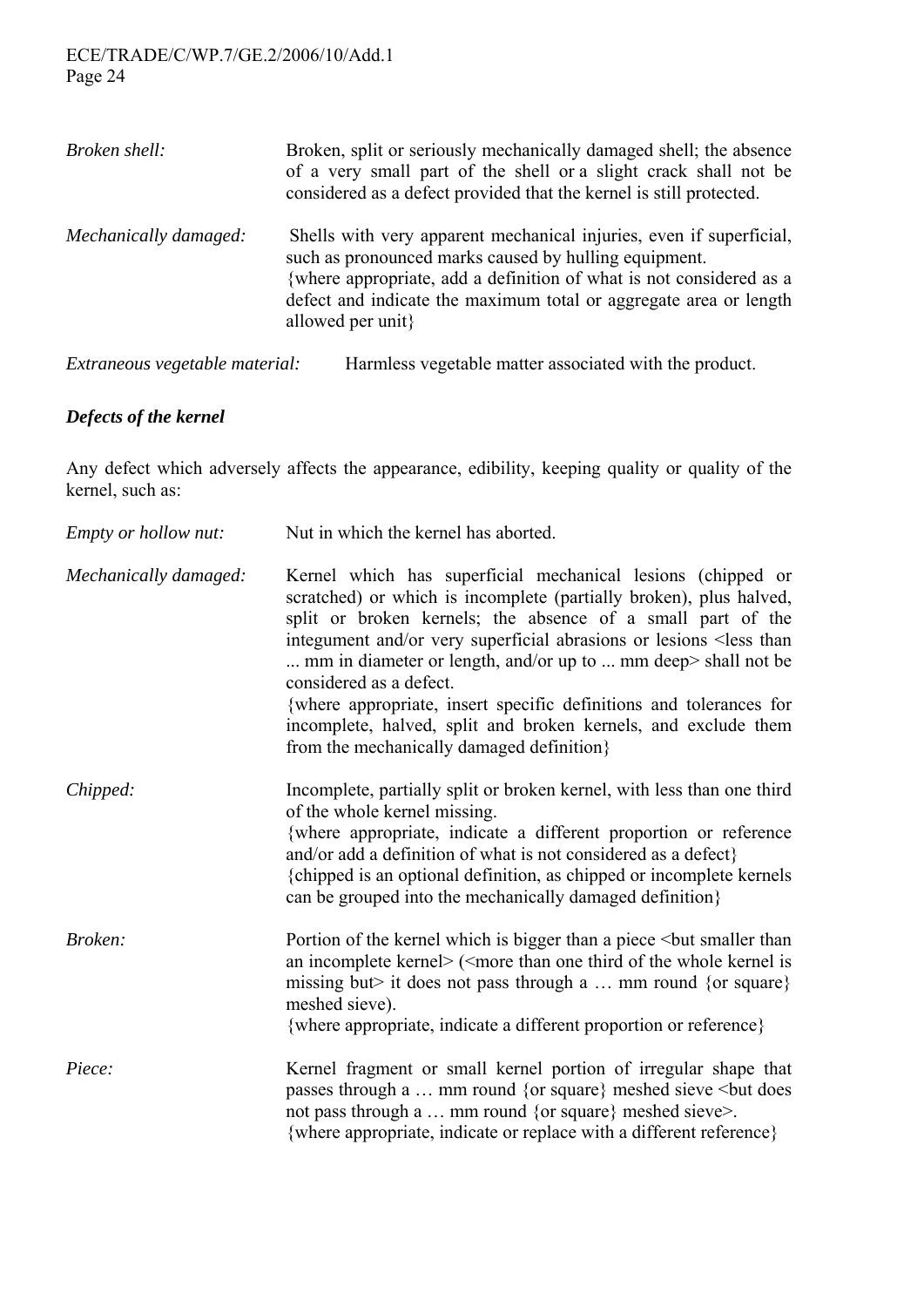### ECE/TRADE/C/WP.7/GE.2/2006/10/Add.1 Page 24

| Broken shell:                  | Broken, split or seriously mechanically damaged shell; the absence<br>of a very small part of the shell or a slight crack shall not be<br>considered as a defect provided that the kernel is still protected.                                                                                 |
|--------------------------------|-----------------------------------------------------------------------------------------------------------------------------------------------------------------------------------------------------------------------------------------------------------------------------------------------|
| Mechanically damaged:          | Shells with very apparent mechanical injuries, even if superficial,<br>such as pronounced marks caused by hulling equipment.<br>{where appropriate, add a definition of what is not considered as a<br>defect and indicate the maximum total or aggregate area or length<br>allowed per unit} |
| Extraneous vegetable material: | Harmless vegetable matter associated with the product.                                                                                                                                                                                                                                        |

#### *Defects of the kernel*

Any defect which adversely affects the appearance, edibility, keeping quality or quality of the kernel, such as:

| Empty or hollow nut:  | Nut in which the kernel has aborted.                                                                                                                                                                                                                                                                                                                                                                                                                                                                                                                                      |
|-----------------------|---------------------------------------------------------------------------------------------------------------------------------------------------------------------------------------------------------------------------------------------------------------------------------------------------------------------------------------------------------------------------------------------------------------------------------------------------------------------------------------------------------------------------------------------------------------------------|
| Mechanically damaged: | Kernel which has superficial mechanical lesions (chipped or<br>scratched) or which is incomplete (partially broken), plus halved,<br>split or broken kernels; the absence of a small part of the<br>integument and/or very superficial abrasions or lesions <less than<br=""> mm in diameter or length, and/or up to  mm deep&gt; shall not be<br/>considered as a defect.<br/>{where appropriate, insert specific definitions and tolerances for<br/>incomplete, halved, split and broken kernels, and exclude them<br/>from the mechanically damaged definition}</less> |
| Chipped:              | Incomplete, partially split or broken kernel, with less than one third<br>of the whole kernel missing.<br>{where appropriate, indicate a different proportion or reference<br>and/or add a definition of what is not considered as a defect}<br>{chipped is an optional definition, as chipped or incomplete kernels<br>can be grouped into the mechanically damaged definition.                                                                                                                                                                                          |
| Broken:               | Portion of the kernel which is bigger than a piece<br>but smaller than<br>an incomplete kernel> ( <more is<br="" kernel="" of="" one="" than="" the="" third="" whole="">missing but it does not pass through a  mm round {or square}<br/>meshed sieve).<br>{where appropriate, indicate a different proportion or reference}</br></more>                                                                                                                                                                                                                                 |
| Piece:                | Kernel fragment or small kernel portion of irregular shape that<br>passes through a  mm round {or square} meshed sieve<br>but does<br>not pass through a  mm round {or square} meshed sieve>.<br>{where appropriate, indicate or replace with a different reference}                                                                                                                                                                                                                                                                                                      |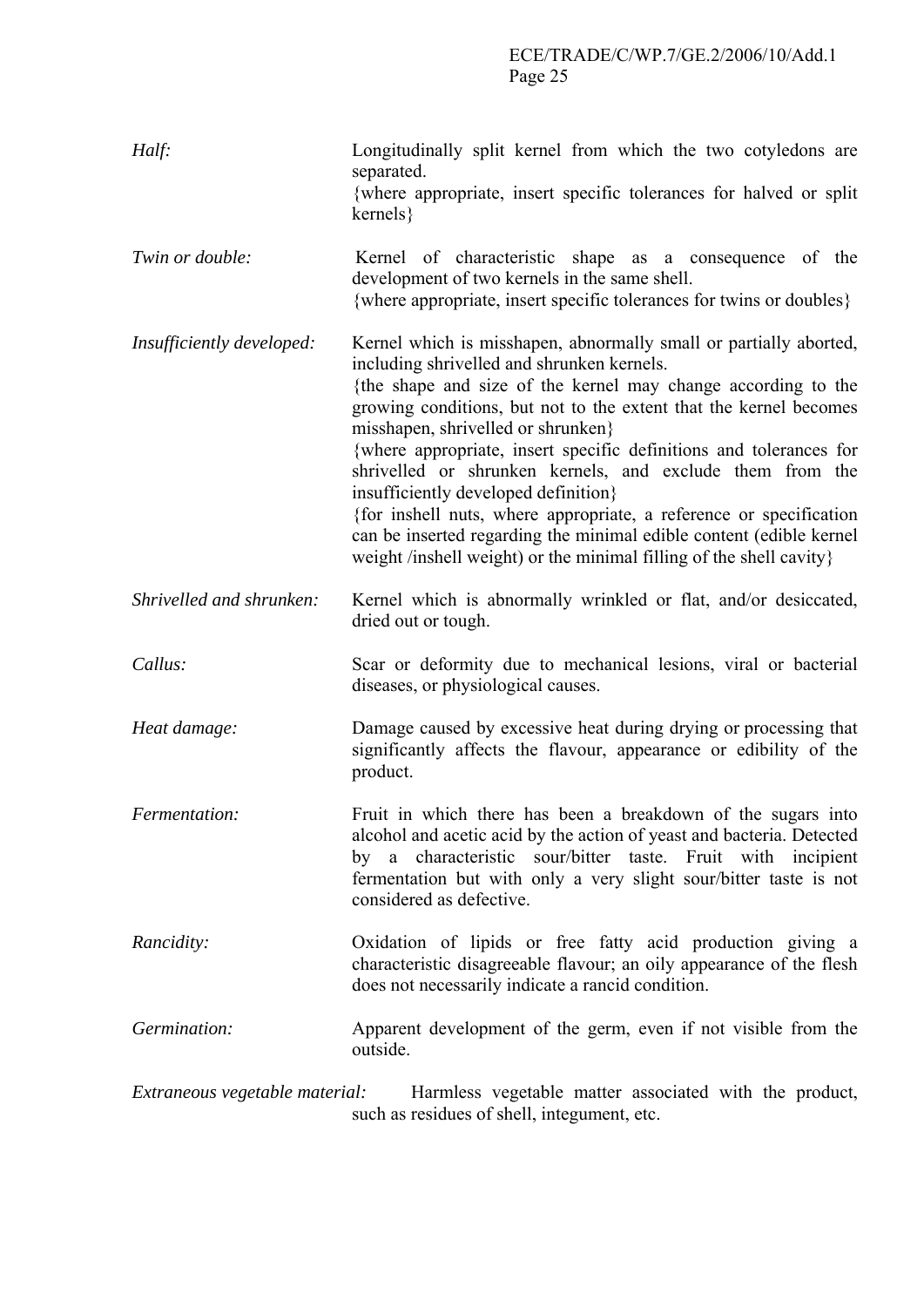| Half:                          | Longitudinally split kernel from which the two cotyledons are<br>separated.<br>{where appropriate, insert specific tolerances for halved or split<br>$kernels\}$                                                                                                                                                                                                                                                                                                                                                                                                                                                                                                                           |
|--------------------------------|--------------------------------------------------------------------------------------------------------------------------------------------------------------------------------------------------------------------------------------------------------------------------------------------------------------------------------------------------------------------------------------------------------------------------------------------------------------------------------------------------------------------------------------------------------------------------------------------------------------------------------------------------------------------------------------------|
| Twin or double:                | Kernel of characteristic shape as a consequence of the<br>development of two kernels in the same shell.<br>{where appropriate, insert specific tolerances for twins or doubles}                                                                                                                                                                                                                                                                                                                                                                                                                                                                                                            |
| Insufficiently developed:      | Kernel which is misshapen, abnormally small or partially aborted,<br>including shrivelled and shrunken kernels.<br>{the shape and size of the kernel may change according to the<br>growing conditions, but not to the extent that the kernel becomes<br>misshapen, shrivelled or shrunken}<br>{where appropriate, insert specific definitions and tolerances for<br>shrivelled or shrunken kernels, and exclude them from the<br>insufficiently developed definition}<br>{for inshell nuts, where appropriate, a reference or specification<br>can be inserted regarding the minimal edible content (edible kernel<br>weight /inshell weight) or the minimal filling of the shell cavity} |
| Shrivelled and shrunken:       | Kernel which is abnormally wrinkled or flat, and/or desiccated,<br>dried out or tough.                                                                                                                                                                                                                                                                                                                                                                                                                                                                                                                                                                                                     |
| Callus:                        | Scar or deformity due to mechanical lesions, viral or bacterial<br>diseases, or physiological causes.                                                                                                                                                                                                                                                                                                                                                                                                                                                                                                                                                                                      |
| Heat damage:                   | Damage caused by excessive heat during drying or processing that<br>significantly affects the flavour, appearance or edibility of the<br>product.                                                                                                                                                                                                                                                                                                                                                                                                                                                                                                                                          |
| Fermentation:                  | Fruit in which there has been a breakdown of the sugars into<br>alcohol and acetic acid by the action of yeast and bacteria. Detected<br>by a characteristic sour/bitter taste. Fruit with incipient<br>fermentation but with only a very slight sour/bitter taste is not<br>considered as defective.                                                                                                                                                                                                                                                                                                                                                                                      |
| Rancidity:                     | Oxidation of lipids or free fatty acid production giving a<br>characteristic disagreeable flavour; an oily appearance of the flesh<br>does not necessarily indicate a rancid condition.                                                                                                                                                                                                                                                                                                                                                                                                                                                                                                    |
| Germination:                   | Apparent development of the germ, even if not visible from the<br>outside.                                                                                                                                                                                                                                                                                                                                                                                                                                                                                                                                                                                                                 |
| Extraneous vegetable material: | Harmless vegetable matter associated with the product,<br>such as residues of shell, integument, etc.                                                                                                                                                                                                                                                                                                                                                                                                                                                                                                                                                                                      |